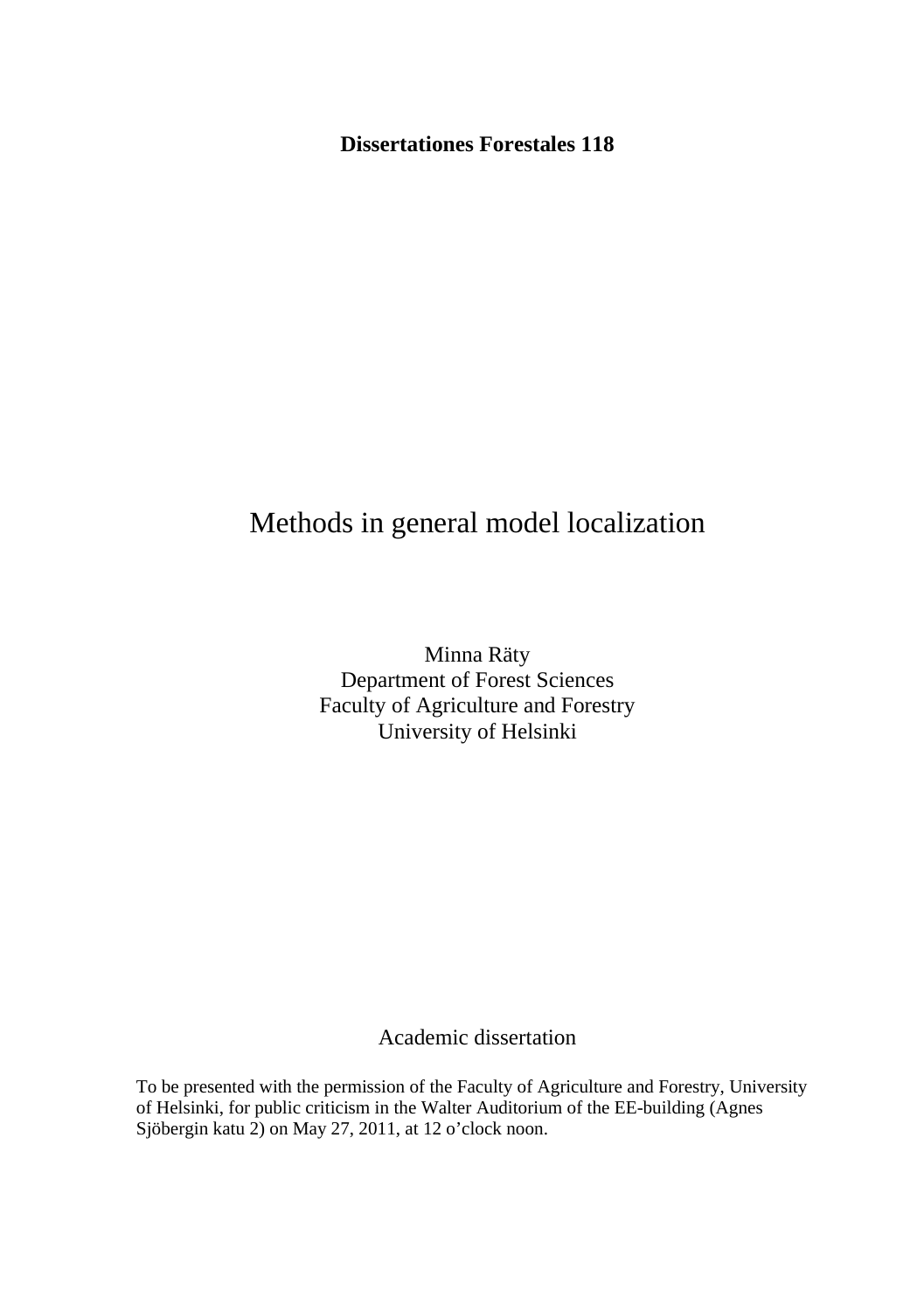**Dissertationes Forestales 118** 

# Methods in general model localization

Minna Räty Department of Forest Sciences Faculty of Agriculture and Forestry University of Helsinki

Academic dissertation

To be presented with the permission of the Faculty of Agriculture and Forestry, University of Helsinki, for public criticism in the Walter Auditorium of the EE-building (Agnes Sjöbergin katu 2) on May 27, 2011, at 12 o'clock noon.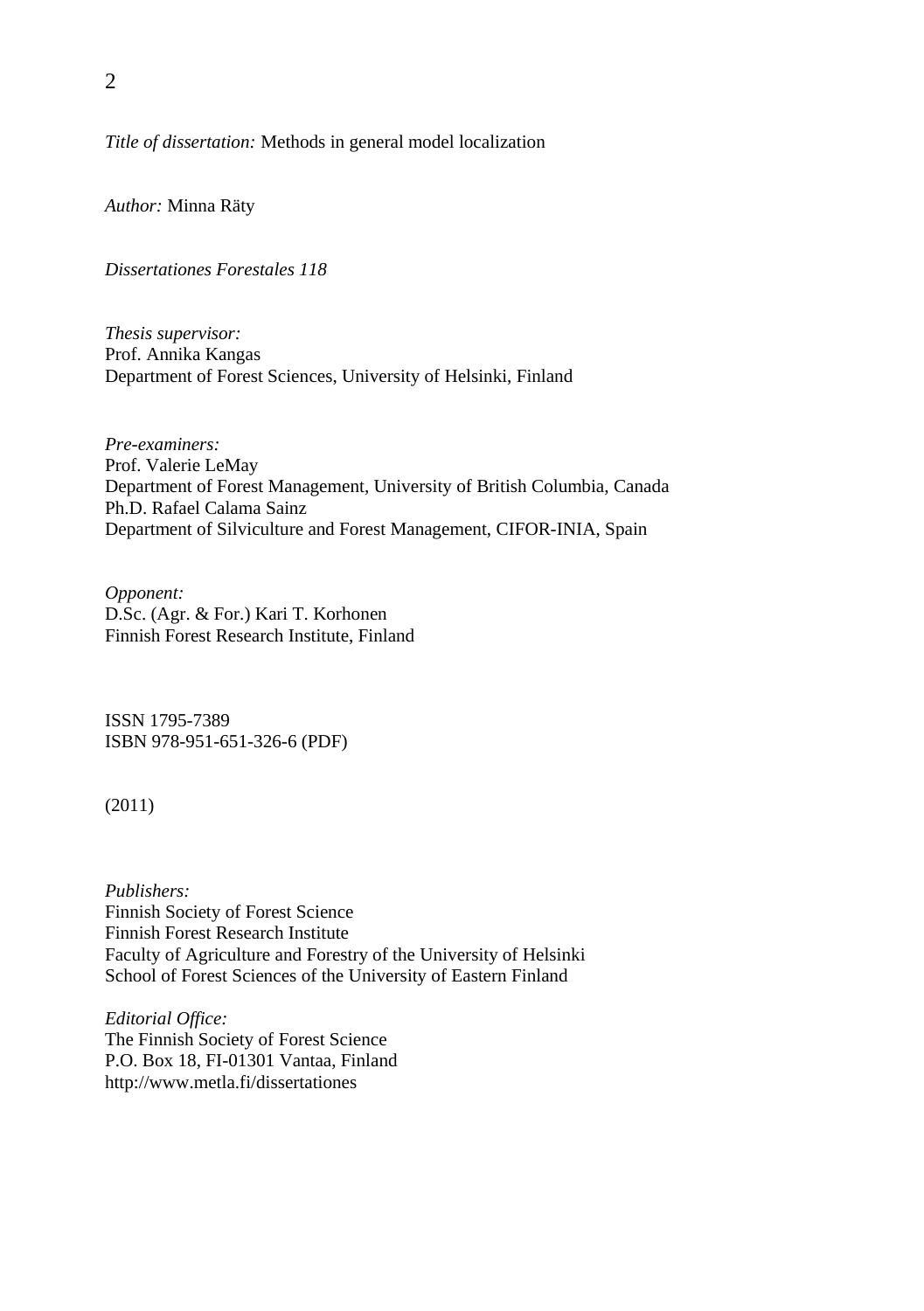*Title of dissertation:* Methods in general model localization

*Author:* Minna Räty

*Dissertationes Forestales 118* 

*Thesis supervisor:*  Prof. Annika Kangas Department of Forest Sciences, University of Helsinki, Finland

*Pre-examiners:*  Prof. Valerie LeMay Department of Forest Management, University of British Columbia, Canada Ph.D. Rafael Calama Sainz Department of Silviculture and Forest Management, CIFOR-INIA, Spain

*Opponent:*  D.Sc. (Agr. & For.) Kari T. Korhonen Finnish Forest Research Institute, Finland

ISSN 1795-7389 ISBN 978-951-651-326-6 (PDF)

(2011)

*Publishers:*  Finnish Society of Forest Science Finnish Forest Research Institute Faculty of Agriculture and Forestry of the University of Helsinki School of Forest Sciences of the University of Eastern Finland

*Editorial Office:*  The Finnish Society of Forest Science P.O. Box 18, FI-01301 Vantaa, Finland http://www.metla.fi/dissertationes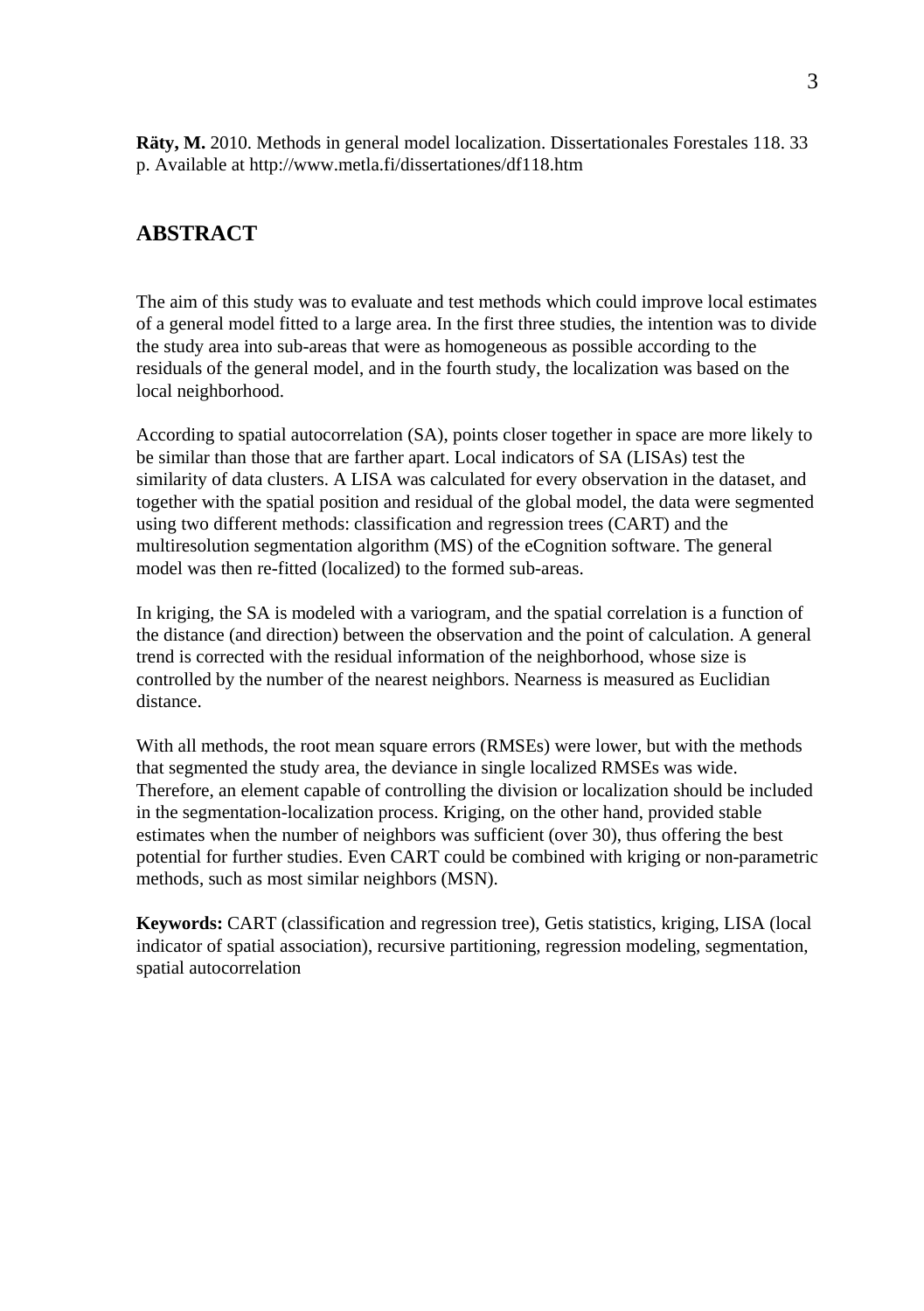**Räty, M.** 2010. Methods in general model localization. Dissertationales Forestales 118. 33 p. Available at http://www.metla.fi/dissertationes/df118.htm

# **ABSTRACT**

The aim of this study was to evaluate and test methods which could improve local estimates of a general model fitted to a large area. In the first three studies, the intention was to divide the study area into sub-areas that were as homogeneous as possible according to the residuals of the general model, and in the fourth study, the localization was based on the local neighborhood.

According to spatial autocorrelation (SA), points closer together in space are more likely to be similar than those that are farther apart. Local indicators of SA (LISAs) test the similarity of data clusters. A LISA was calculated for every observation in the dataset, and together with the spatial position and residual of the global model, the data were segmented using two different methods: classification and regression trees (CART) and the multiresolution segmentation algorithm (MS) of the eCognition software. The general model was then re-fitted (localized) to the formed sub-areas.

In kriging, the SA is modeled with a variogram, and the spatial correlation is a function of the distance (and direction) between the observation and the point of calculation. A general trend is corrected with the residual information of the neighborhood, whose size is controlled by the number of the nearest neighbors. Nearness is measured as Euclidian distance.

With all methods, the root mean square errors (RMSEs) were lower, but with the methods that segmented the study area, the deviance in single localized RMSEs was wide. Therefore, an element capable of controlling the division or localization should be included in the segmentation-localization process. Kriging, on the other hand, provided stable estimates when the number of neighbors was sufficient (over 30), thus offering the best potential for further studies. Even CART could be combined with kriging or non-parametric methods, such as most similar neighbors (MSN).

**Keywords:** CART (classification and regression tree), Getis statistics, kriging, LISA (local indicator of spatial association), recursive partitioning, regression modeling, segmentation, spatial autocorrelation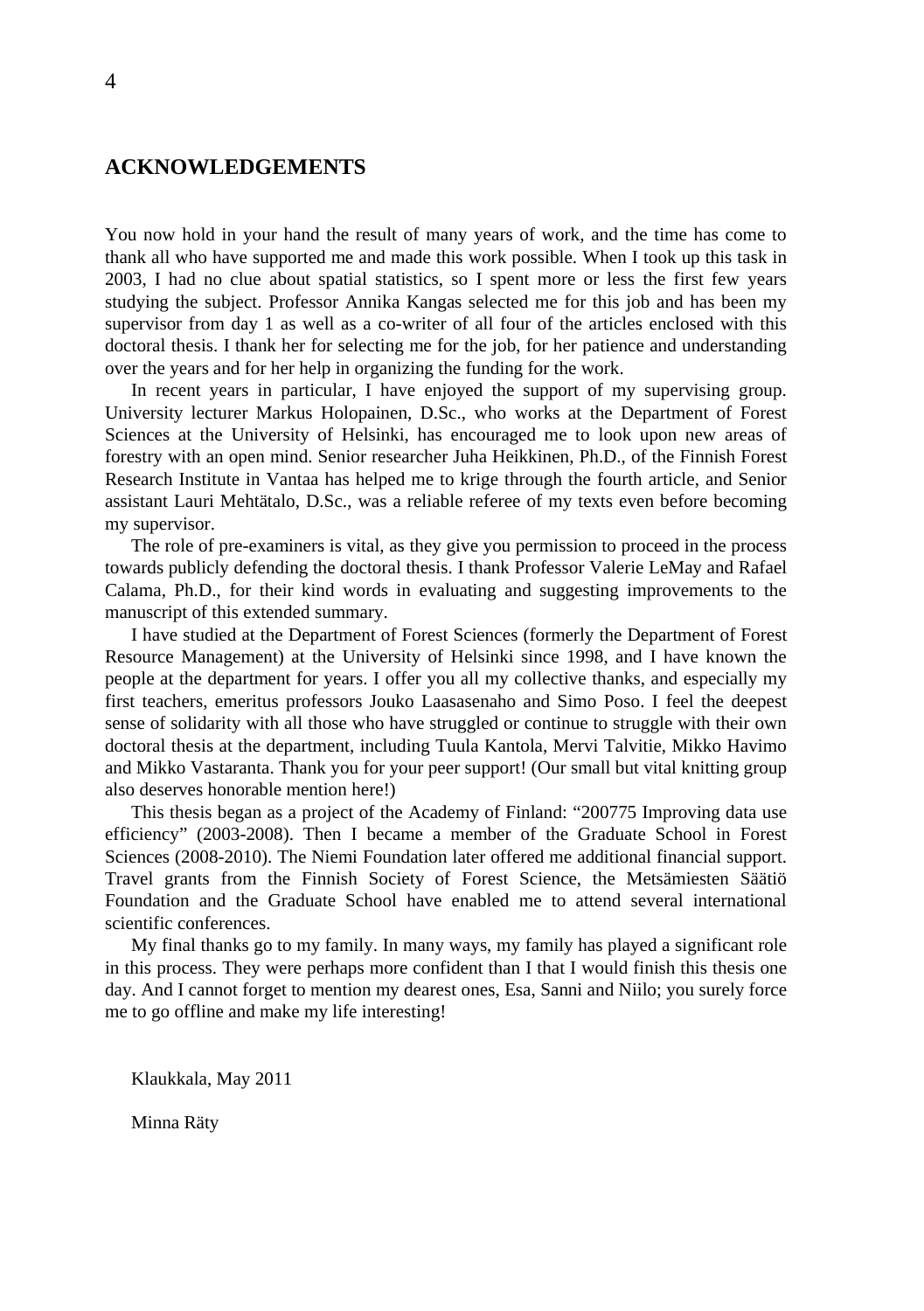# **ACKNOWLEDGEMENTS**

You now hold in your hand the result of many years of work, and the time has come to thank all who have supported me and made this work possible. When I took up this task in 2003, I had no clue about spatial statistics, so I spent more or less the first few years studying the subject. Professor Annika Kangas selected me for this job and has been my supervisor from day 1 as well as a co-writer of all four of the articles enclosed with this doctoral thesis. I thank her for selecting me for the job, for her patience and understanding over the years and for her help in organizing the funding for the work.

In recent years in particular, I have enjoyed the support of my supervising group. University lecturer Markus Holopainen, D.Sc., who works at the Department of Forest Sciences at the University of Helsinki, has encouraged me to look upon new areas of forestry with an open mind. Senior researcher Juha Heikkinen, Ph.D., of the Finnish Forest Research Institute in Vantaa has helped me to krige through the fourth article, and Senior assistant Lauri Mehtätalo, D.Sc., was a reliable referee of my texts even before becoming my supervisor.

The role of pre-examiners is vital, as they give you permission to proceed in the process towards publicly defending the doctoral thesis. I thank Professor Valerie LeMay and Rafael Calama, Ph.D., for their kind words in evaluating and suggesting improvements to the manuscript of this extended summary.

I have studied at the Department of Forest Sciences (formerly the Department of Forest Resource Management) at the University of Helsinki since 1998, and I have known the people at the department for years. I offer you all my collective thanks, and especially my first teachers, emeritus professors Jouko Laasasenaho and Simo Poso. I feel the deepest sense of solidarity with all those who have struggled or continue to struggle with their own doctoral thesis at the department, including Tuula Kantola, Mervi Talvitie, Mikko Havimo and Mikko Vastaranta. Thank you for your peer support! (Our small but vital knitting group also deserves honorable mention here!)

This thesis began as a project of the Academy of Finland: "200775 Improving data use efficiency" (2003-2008). Then I became a member of the Graduate School in Forest Sciences (2008-2010). The Niemi Foundation later offered me additional financial support. Travel grants from the Finnish Society of Forest Science, the Metsämiesten Säätiö Foundation and the Graduate School have enabled me to attend several international scientific conferences.

My final thanks go to my family. In many ways, my family has played a significant role in this process. They were perhaps more confident than I that I would finish this thesis one day. And I cannot forget to mention my dearest ones, Esa, Sanni and Niilo; you surely force me to go offline and make my life interesting!

Klaukkala, May 2011

Minna Räty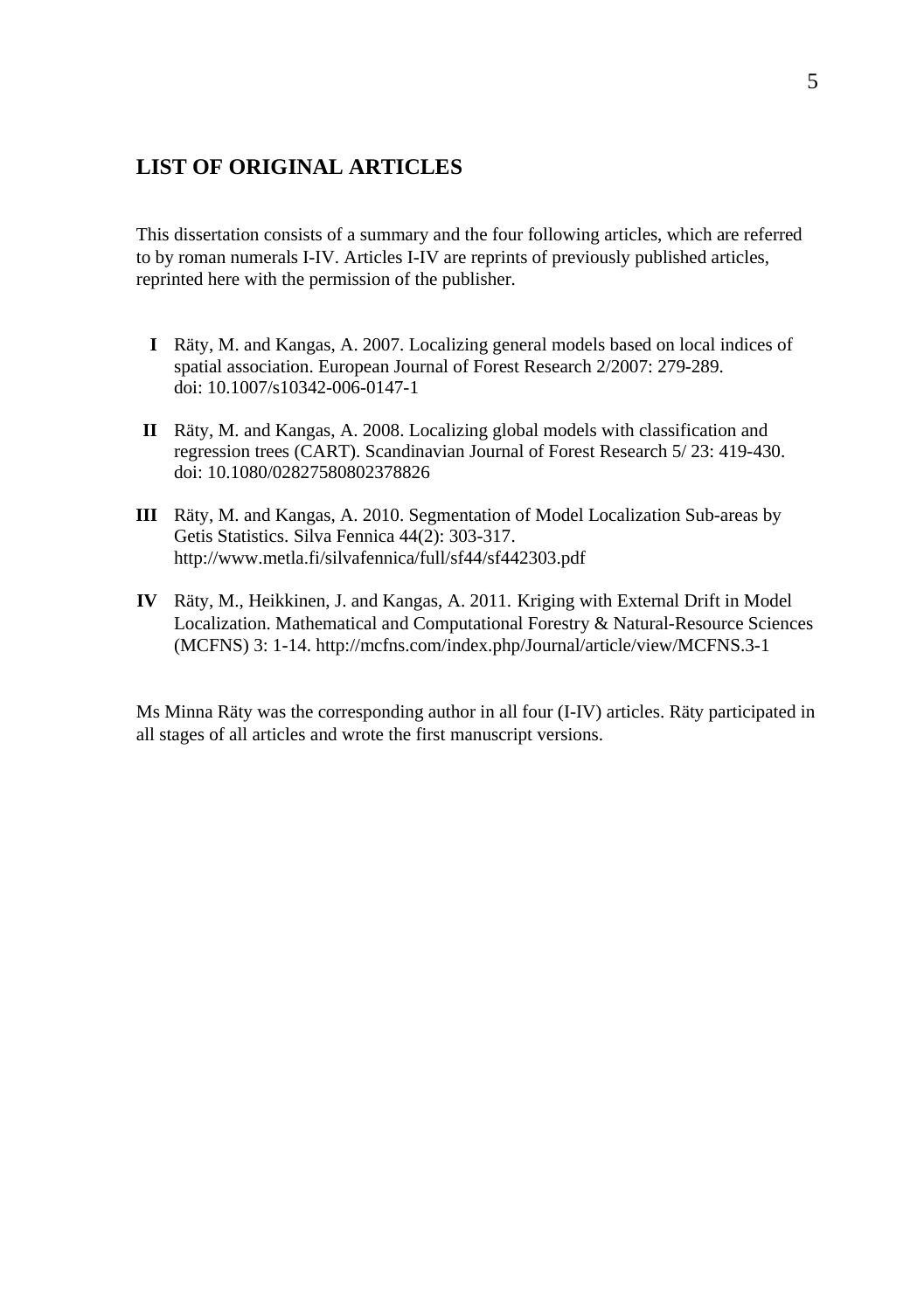# **LIST OF ORIGINAL ARTICLES**

This dissertation consists of a summary and the four following articles, which are referred to by roman numerals I-IV. Articles I-IV are reprints of previously published articles, reprinted here with the permission of the publisher.

- **I** Räty, M. and Kangas, A. 2007. Localizing general models based on local indices of spatial association. European Journal of Forest Research 2/2007: 279-289. doi: 10.1007/s10342-006-0147-1
- **II** Räty, M. and Kangas, A. 2008. Localizing global models with classification and regression trees (CART). Scandinavian Journal of Forest Research 5/ 23: 419-430. doi: 10.1080/02827580802378826
- **III** Räty, M. and Kangas, A. 2010. Segmentation of Model Localization Sub-areas by Getis Statistics. Silva Fennica 44(2): 303-317. http://www.metla.fi/silvafennica/full/sf44/sf442303.pdf
- **IV** Räty, M., Heikkinen, J. and Kangas, A. 2011. Kriging with External Drift in Model Localization. Mathematical and Computational Forestry & Natural-Resource Sciences (MCFNS) 3: 1-14. http://mcfns.com/index.php/Journal/article/view/MCFNS.3-1

Ms Minna Räty was the corresponding author in all four (I-IV) articles. Räty participated in all stages of all articles and wrote the first manuscript versions.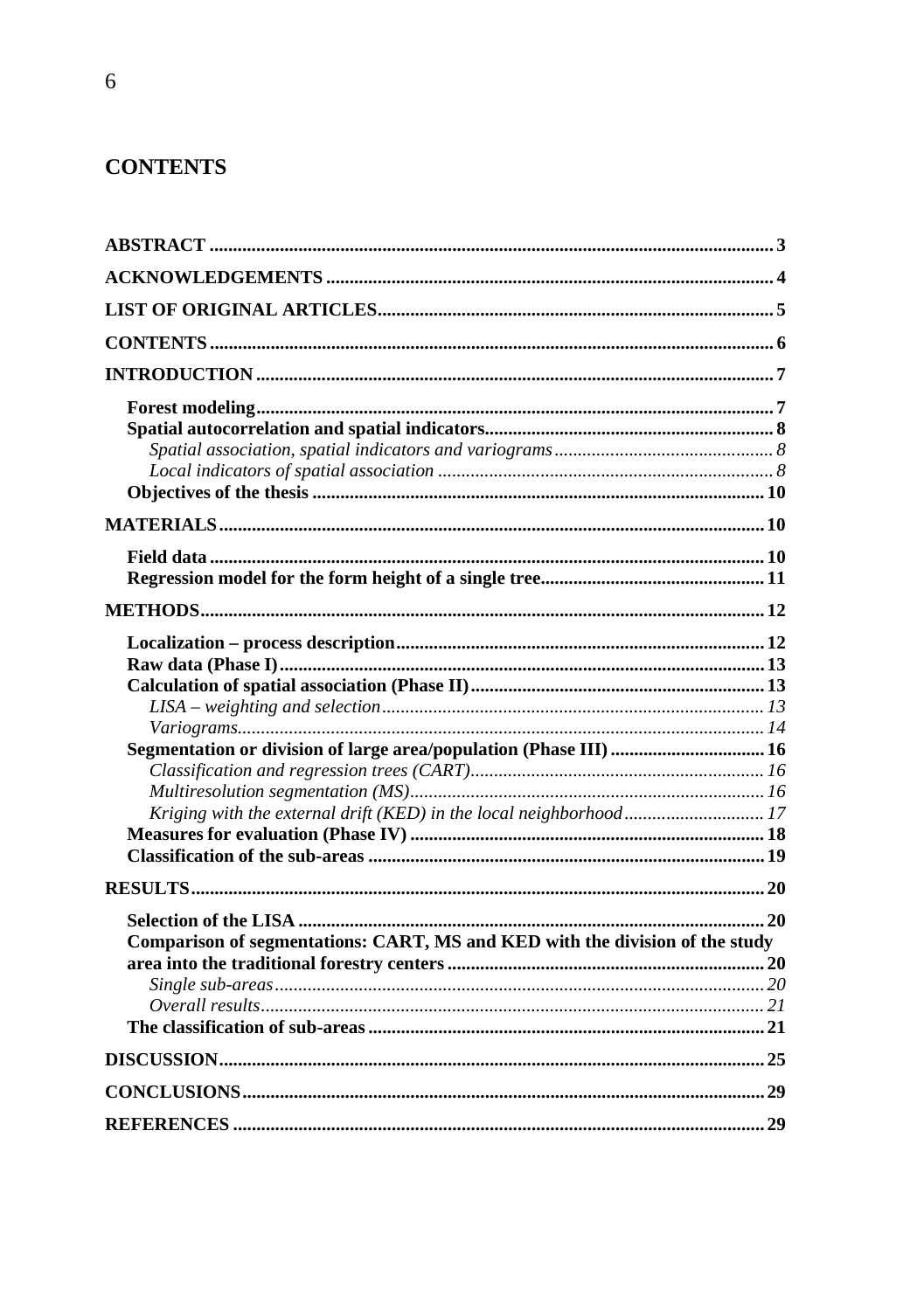# **CONTENTS**

| Comparison of segmentations: CART, MS and KED with the division of the study |  |
|------------------------------------------------------------------------------|--|
|                                                                              |  |
|                                                                              |  |
|                                                                              |  |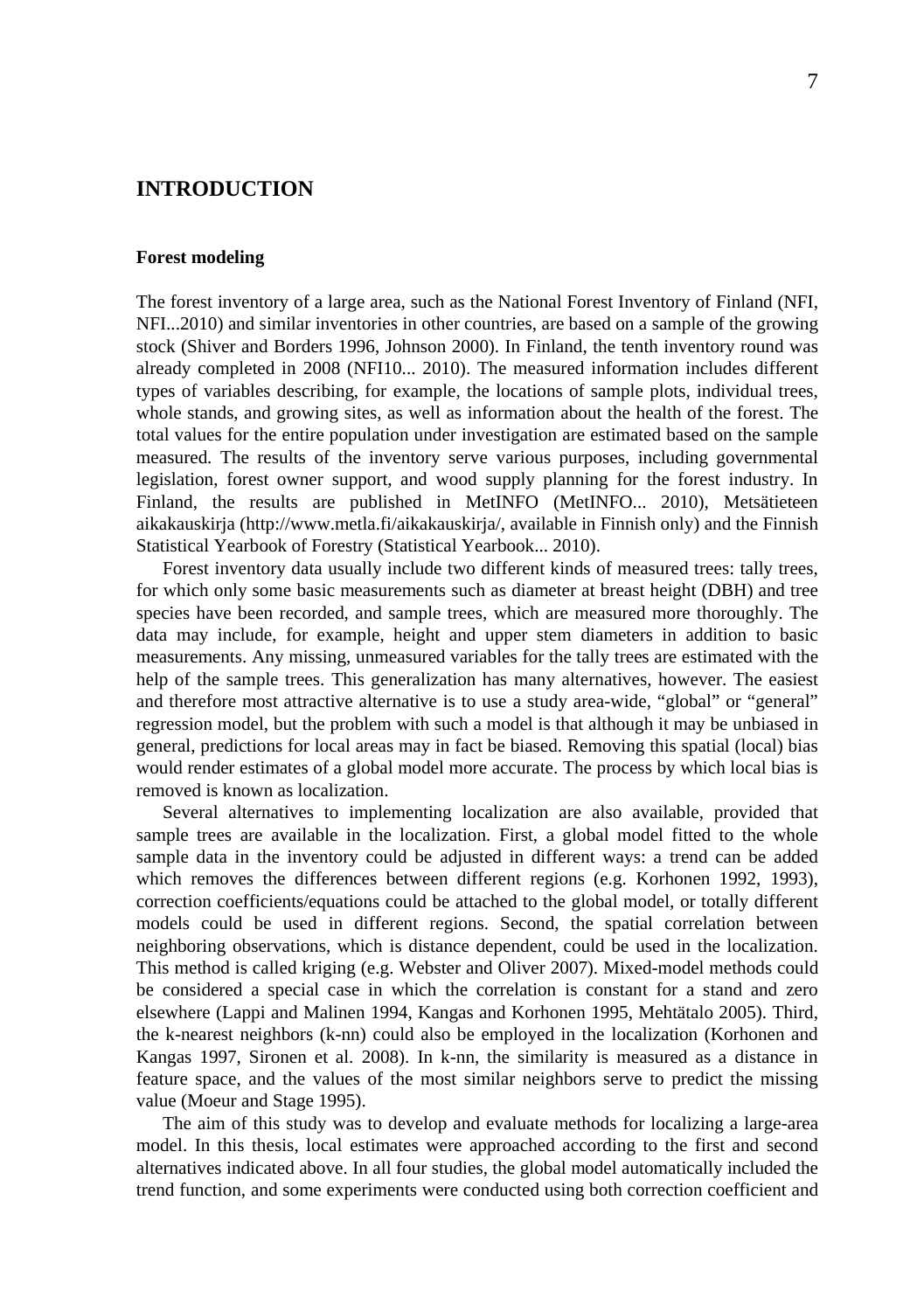# **INTRODUCTION**

#### **Forest modeling**

The forest inventory of a large area, such as the National Forest Inventory of Finland (NFI, NFI...2010) and similar inventories in other countries, are based on a sample of the growing stock (Shiver and Borders 1996, Johnson 2000). In Finland, the tenth inventory round was already completed in 2008 (NFI10... 2010). The measured information includes different types of variables describing, for example, the locations of sample plots, individual trees, whole stands, and growing sites, as well as information about the health of the forest. The total values for the entire population under investigation are estimated based on the sample measured. The results of the inventory serve various purposes, including governmental legislation, forest owner support, and wood supply planning for the forest industry. In Finland, the results are published in MetINFO (MetINFO... 2010), Metsätieteen aikakauskirja (http://www.metla.fi/aikakauskirja/, available in Finnish only) and the Finnish Statistical Yearbook of Forestry (Statistical Yearbook... 2010).

Forest inventory data usually include two different kinds of measured trees: tally trees, for which only some basic measurements such as diameter at breast height (DBH) and tree species have been recorded, and sample trees, which are measured more thoroughly. The data may include, for example, height and upper stem diameters in addition to basic measurements. Any missing, unmeasured variables for the tally trees are estimated with the help of the sample trees. This generalization has many alternatives, however. The easiest and therefore most attractive alternative is to use a study area-wide, "global" or "general" regression model, but the problem with such a model is that although it may be unbiased in general, predictions for local areas may in fact be biased. Removing this spatial (local) bias would render estimates of a global model more accurate. The process by which local bias is removed is known as localization.

Several alternatives to implementing localization are also available, provided that sample trees are available in the localization. First, a global model fitted to the whole sample data in the inventory could be adjusted in different ways: a trend can be added which removes the differences between different regions (e.g. Korhonen 1992, 1993), correction coefficients/equations could be attached to the global model, or totally different models could be used in different regions. Second, the spatial correlation between neighboring observations, which is distance dependent, could be used in the localization. This method is called kriging (e.g. Webster and Oliver 2007). Mixed-model methods could be considered a special case in which the correlation is constant for a stand and zero elsewhere (Lappi and Malinen 1994, Kangas and Korhonen 1995, Mehtätalo 2005). Third, the k-nearest neighbors (k-nn) could also be employed in the localization (Korhonen and Kangas 1997, Sironen et al. 2008). In k-nn, the similarity is measured as a distance in feature space, and the values of the most similar neighbors serve to predict the missing value (Moeur and Stage 1995).

The aim of this study was to develop and evaluate methods for localizing a large-area model. In this thesis, local estimates were approached according to the first and second alternatives indicated above. In all four studies, the global model automatically included the trend function, and some experiments were conducted using both correction coefficient and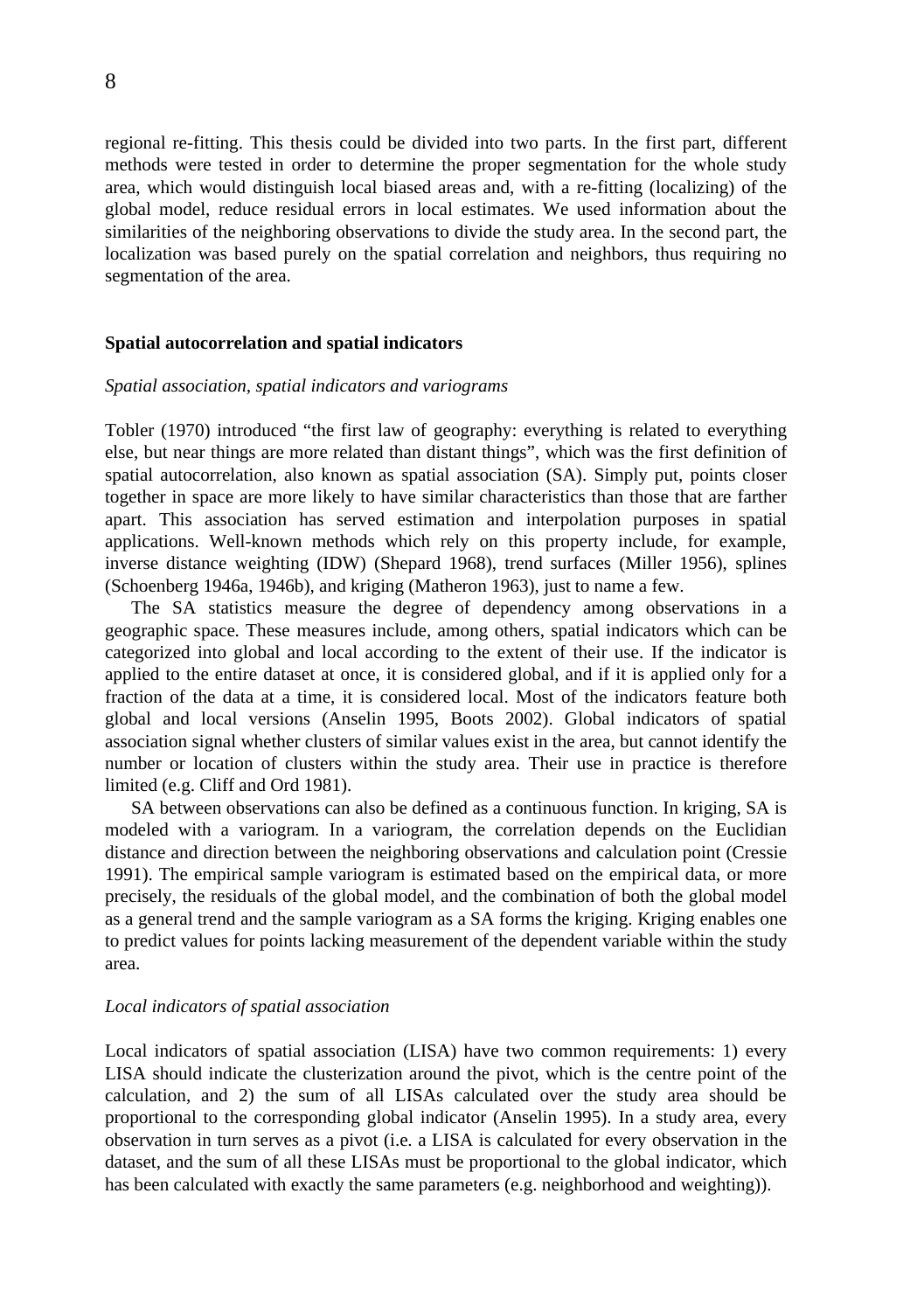regional re-fitting. This thesis could be divided into two parts. In the first part, different methods were tested in order to determine the proper segmentation for the whole study area, which would distinguish local biased areas and, with a re-fitting (localizing) of the global model, reduce residual errors in local estimates. We used information about the similarities of the neighboring observations to divide the study area. In the second part, the localization was based purely on the spatial correlation and neighbors, thus requiring no segmentation of the area.

#### **Spatial autocorrelation and spatial indicators**

#### *Spatial association, spatial indicators and variograms*

Tobler (1970) introduced "the first law of geography: everything is related to everything else, but near things are more related than distant things", which was the first definition of spatial autocorrelation, also known as spatial association (SA). Simply put, points closer together in space are more likely to have similar characteristics than those that are farther apart. This association has served estimation and interpolation purposes in spatial applications. Well-known methods which rely on this property include, for example, inverse distance weighting (IDW) (Shepard 1968), trend surfaces (Miller 1956), splines (Schoenberg 1946a, 1946b), and kriging (Matheron 1963), just to name a few.

The SA statistics measure the degree of dependency among observations in a geographic space. These measures include, among others, spatial indicators which can be categorized into global and local according to the extent of their use. If the indicator is applied to the entire dataset at once, it is considered global, and if it is applied only for a fraction of the data at a time, it is considered local. Most of the indicators feature both global and local versions (Anselin 1995, Boots 2002). Global indicators of spatial association signal whether clusters of similar values exist in the area, but cannot identify the number or location of clusters within the study area. Their use in practice is therefore limited (e.g. Cliff and Ord 1981).

SA between observations can also be defined as a continuous function. In kriging, SA is modeled with a variogram. In a variogram, the correlation depends on the Euclidian distance and direction between the neighboring observations and calculation point (Cressie 1991). The empirical sample variogram is estimated based on the empirical data, or more precisely, the residuals of the global model, and the combination of both the global model as a general trend and the sample variogram as a SA forms the kriging. Kriging enables one to predict values for points lacking measurement of the dependent variable within the study area.

### *Local indicators of spatial association*

Local indicators of spatial association (LISA) have two common requirements: 1) every LISA should indicate the clusterization around the pivot, which is the centre point of the calculation, and 2) the sum of all LISAs calculated over the study area should be proportional to the corresponding global indicator (Anselin 1995). In a study area, every observation in turn serves as a pivot (i.e. a LISA is calculated for every observation in the dataset, and the sum of all these LISAs must be proportional to the global indicator, which has been calculated with exactly the same parameters (e.g. neighborhood and weighting)).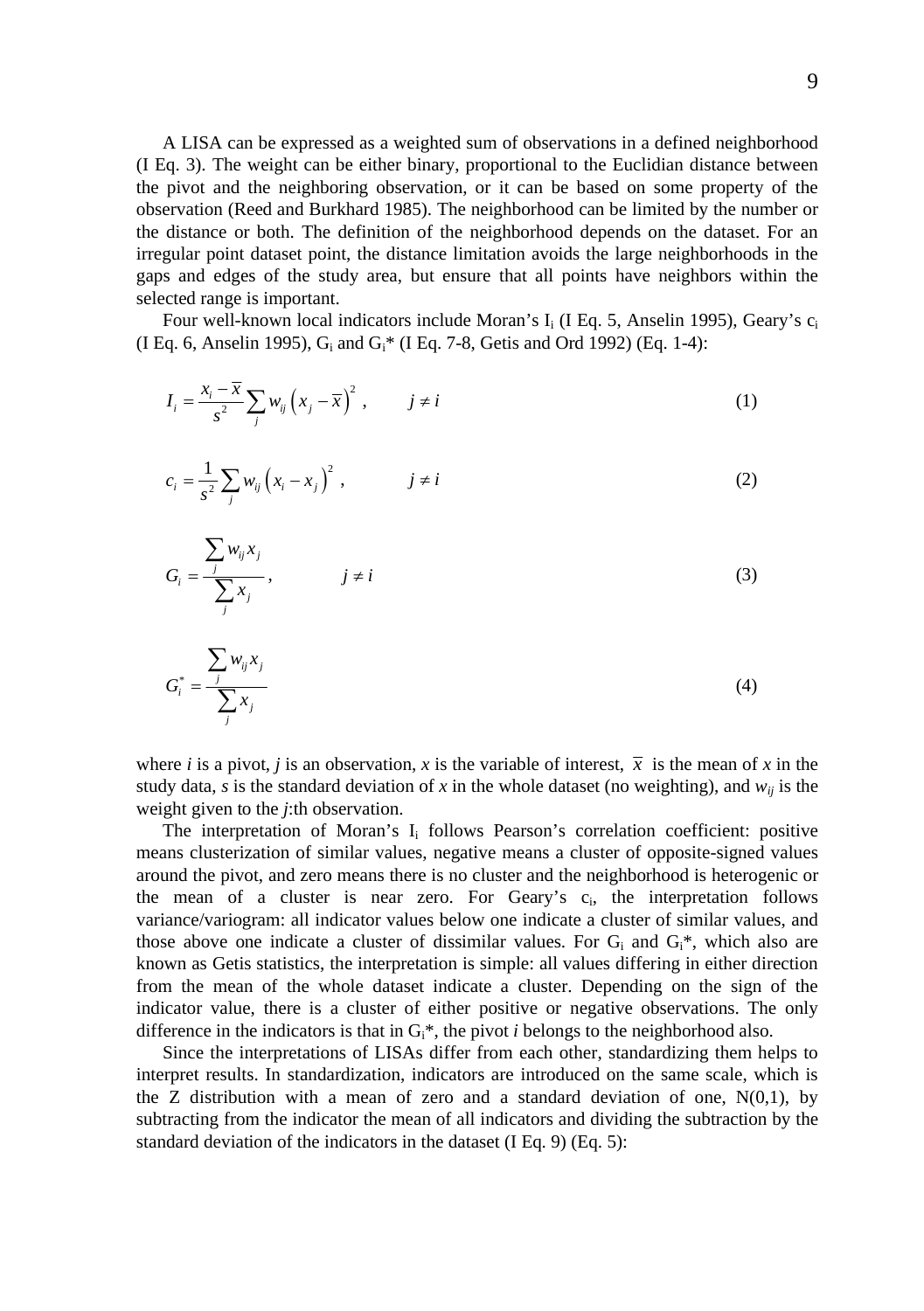A LISA can be expressed as a weighted sum of observations in a defined neighborhood (I Eq. 3). The weight can be either binary, proportional to the Euclidian distance between the pivot and the neighboring observation, or it can be based on some property of the observation (Reed and Burkhard 1985). The neighborhood can be limited by the number or the distance or both. The definition of the neighborhood depends on the dataset. For an irregular point dataset point, the distance limitation avoids the large neighborhoods in the gaps and edges of the study area, but ensure that all points have neighbors within the selected range is important.

Four well-known local indicators include Moran's I<sub>i</sub> (I Eq. 5, Anselin 1995), Geary's c<sub>i</sub> (I Eq. 6, Anselin 1995),  $G_i$  and  $G_i^*$  (I Eq. 7-8, Getis and Ord 1992) (Eq. 1-4):

$$
I_i = \frac{x_i - \overline{x}}{s^2} \sum_j w_{ij} \left( x_j - \overline{x} \right)^2, \qquad j \neq i
$$
 (1)

$$
c_i = \frac{1}{s^2} \sum_j w_{ij} \left( x_i - x_j \right)^2, \qquad j \neq i \tag{2}
$$

$$
G_i = \frac{\sum_j w_{ij} x_j}{\sum_j x_j}, \qquad j \neq i
$$
 (3)

$$
G_i^* = \frac{\sum_j w_{ij} x_j}{\sum_j x_j} \tag{4}
$$

where *i* is a pivot, *j* is an observation, *x* is the variable of interest,  $\bar{x}$  is the mean of *x* in the study data, *s* is the standard deviation of *x* in the whole dataset (no weighting), and  $w_{ij}$  is the weight given to the *j*:th observation.

The interpretation of Moran's I<sub>i</sub> follows Pearson's correlation coefficient: positive means clusterization of similar values, negative means a cluster of opposite-signed values around the pivot, and zero means there is no cluster and the neighborhood is heterogenic or the mean of a cluster is near zero. For Geary's  $c_i$ , the interpretation follows variance/variogram: all indicator values below one indicate a cluster of similar values, and those above one indicate a cluster of dissimilar values. For  $G_i$  and  $G_i^*$ , which also are known as Getis statistics, the interpretation is simple: all values differing in either direction from the mean of the whole dataset indicate a cluster. Depending on the sign of the indicator value, there is a cluster of either positive or negative observations. The only difference in the indicators is that in  $G_i^*$ , the pivot *i* belongs to the neighborhood also.

Since the interpretations of LISAs differ from each other, standardizing them helps to interpret results. In standardization, indicators are introduced on the same scale, which is the Z distribution with a mean of zero and a standard deviation of one,  $N(0,1)$ , by subtracting from the indicator the mean of all indicators and dividing the subtraction by the standard deviation of the indicators in the dataset (I Eq. 9) (Eq. 5):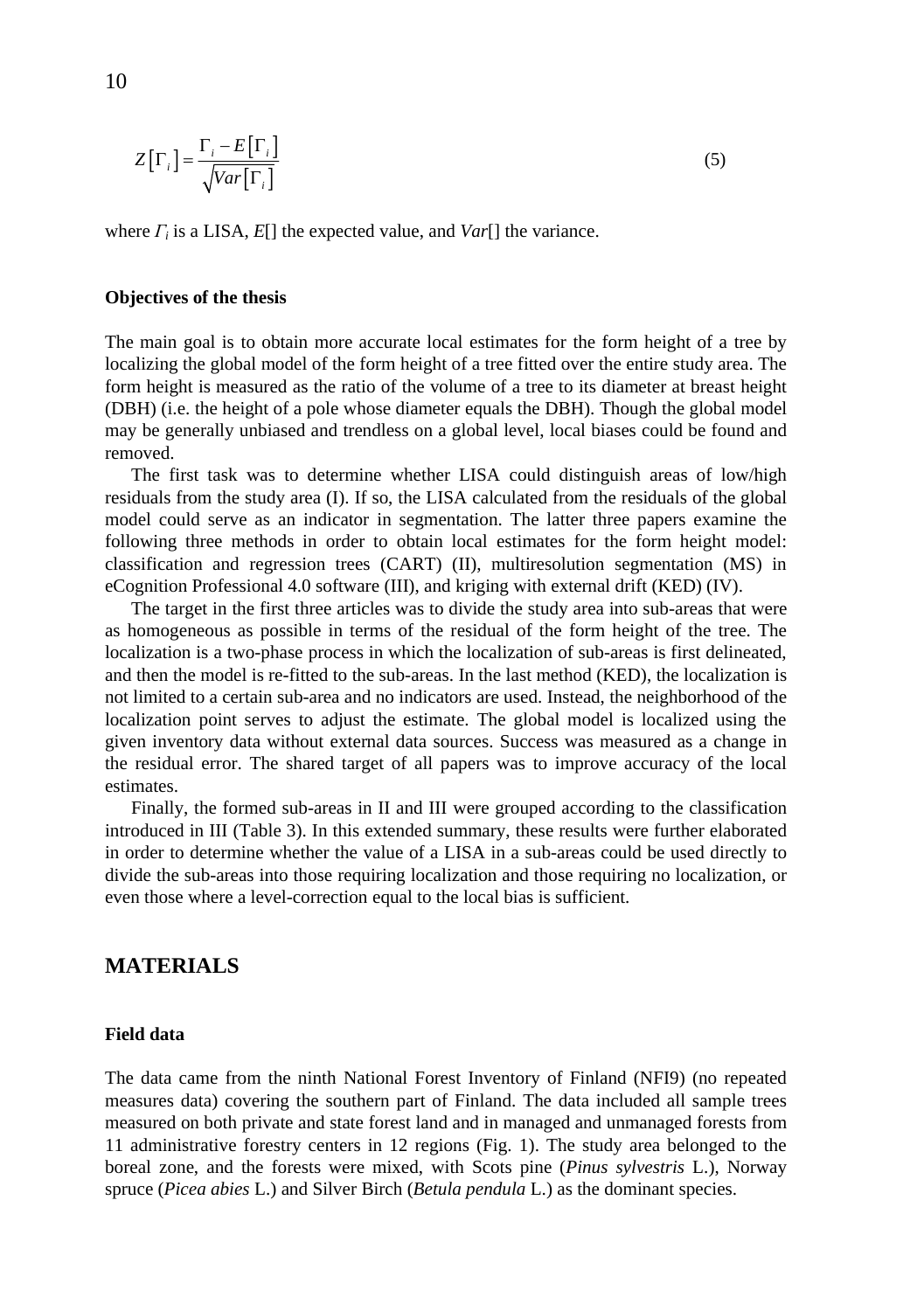$$
Z\left[\Gamma_{i}\right] = \frac{\Gamma_{i} - E\left[\Gamma_{i}\right]}{\sqrt{Var\left[\Gamma_{i}\right]}}\tag{5}
$$

where  $\Gamma_i$  is a LISA,  $E[$  the expected value, and  $Var[$  the variance.

### **Objectives of the thesis**

The main goal is to obtain more accurate local estimates for the form height of a tree by localizing the global model of the form height of a tree fitted over the entire study area. The form height is measured as the ratio of the volume of a tree to its diameter at breast height (DBH) (i.e. the height of a pole whose diameter equals the DBH). Though the global model may be generally unbiased and trendless on a global level, local biases could be found and removed.

The first task was to determine whether LISA could distinguish areas of low/high residuals from the study area (I). If so, the LISA calculated from the residuals of the global model could serve as an indicator in segmentation. The latter three papers examine the following three methods in order to obtain local estimates for the form height model: classification and regression trees (CART) (II), multiresolution segmentation (MS) in eCognition Professional 4.0 software (III), and kriging with external drift (KED) (IV).

The target in the first three articles was to divide the study area into sub-areas that were as homogeneous as possible in terms of the residual of the form height of the tree. The localization is a two-phase process in which the localization of sub-areas is first delineated, and then the model is re-fitted to the sub-areas. In the last method (KED), the localization is not limited to a certain sub-area and no indicators are used. Instead, the neighborhood of the localization point serves to adjust the estimate. The global model is localized using the given inventory data without external data sources. Success was measured as a change in the residual error. The shared target of all papers was to improve accuracy of the local estimates.

Finally, the formed sub-areas in II and III were grouped according to the classification introduced in III (Table 3). In this extended summary, these results were further elaborated in order to determine whether the value of a LISA in a sub-areas could be used directly to divide the sub-areas into those requiring localization and those requiring no localization, or even those where a level-correction equal to the local bias is sufficient.

# **MATERIALS**

#### **Field data**

The data came from the ninth National Forest Inventory of Finland (NFI9) (no repeated measures data) covering the southern part of Finland. The data included all sample trees measured on both private and state forest land and in managed and unmanaged forests from 11 administrative forestry centers in 12 regions (Fig. 1). The study area belonged to the boreal zone, and the forests were mixed, with Scots pine (*Pinus sylvestris* L.), Norway spruce (*Picea abies* L.) and Silver Birch (*Betula pendula* L.) as the dominant species.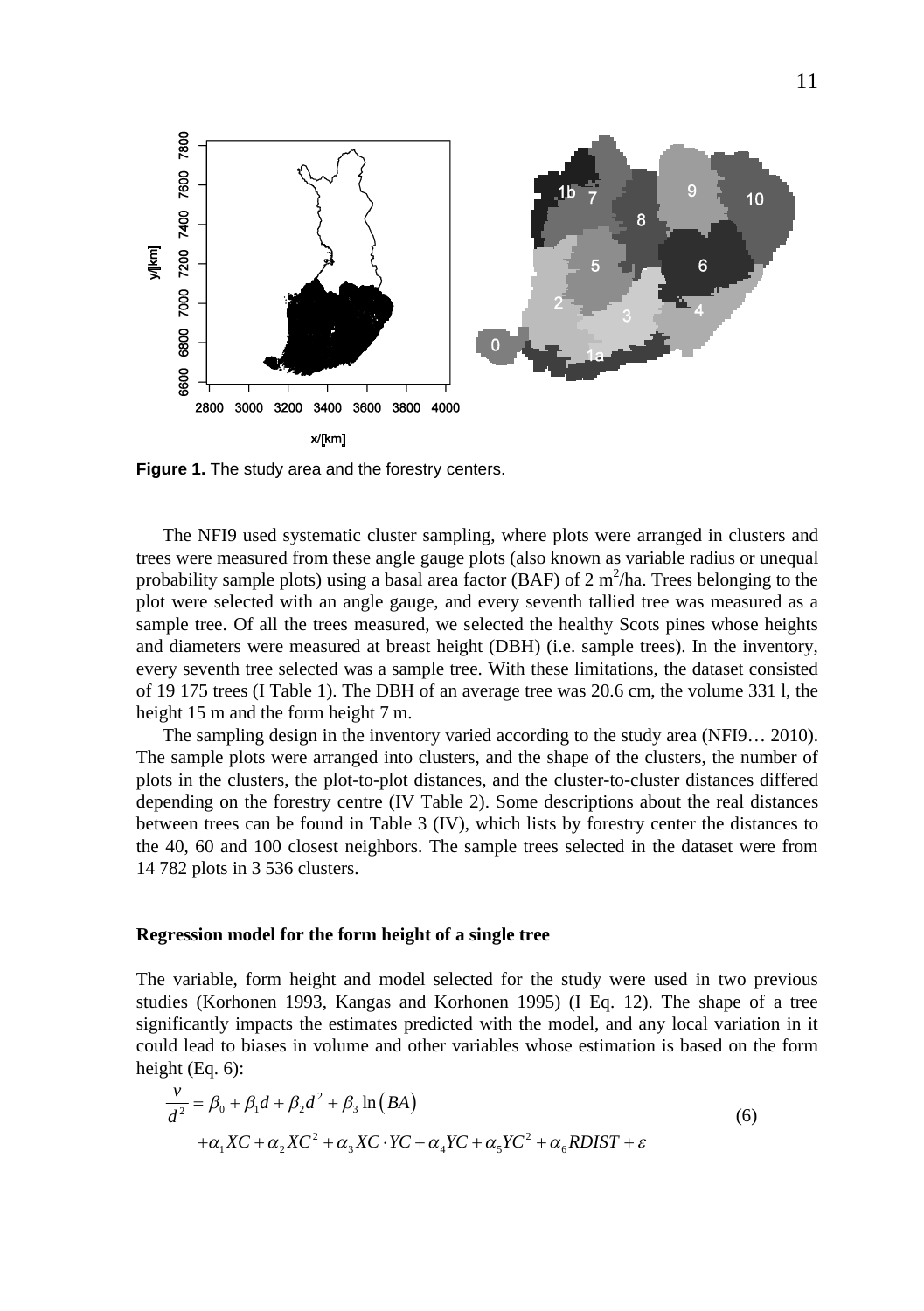

**Figure 1.** The study area and the forestry centers.

The NFI9 used systematic cluster sampling, where plots were arranged in clusters and trees were measured from these angle gauge plots (also known as variable radius or unequal probability sample plots) using a basal area factor (BAF) of  $2 \text{ m}^2/\text{ha}$ . Trees belonging to the plot were selected with an angle gauge, and every seventh tallied tree was measured as a sample tree. Of all the trees measured, we selected the healthy Scots pines whose heights and diameters were measured at breast height (DBH) (i.e. sample trees). In the inventory, every seventh tree selected was a sample tree. With these limitations, the dataset consisted of 19 175 trees (I Table 1). The DBH of an average tree was 20.6 cm, the volume 331 l, the height 15 m and the form height 7 m.

The sampling design in the inventory varied according to the study area (NFI9… 2010). The sample plots were arranged into clusters, and the shape of the clusters, the number of plots in the clusters, the plot-to-plot distances, and the cluster-to-cluster distances differed depending on the forestry centre (IV Table 2). Some descriptions about the real distances between trees can be found in Table 3 (IV), which lists by forestry center the distances to the 40, 60 and 100 closest neighbors. The sample trees selected in the dataset were from 14 782 plots in 3 536 clusters.

#### **Regression model for the form height of a single tree**

The variable, form height and model selected for the study were used in two previous studies (Korhonen 1993, Kangas and Korhonen 1995) (I Eq. 12). The shape of a tree significantly impacts the estimates predicted with the model, and any local variation in it could lead to biases in volume and other variables whose estimation is based on the form height (Eq. 6):

$$
\frac{v}{d^2} = \beta_0 + \beta_1 d + \beta_2 d^2 + \beta_3 \ln(BA)
$$
  
+ $\alpha_1 X C + \alpha_2 X C^2 + \alpha_3 X C \cdot Y C + \alpha_4 Y C + \alpha_5 Y C^2 + \alpha_6 R D I S T + \varepsilon$  (6)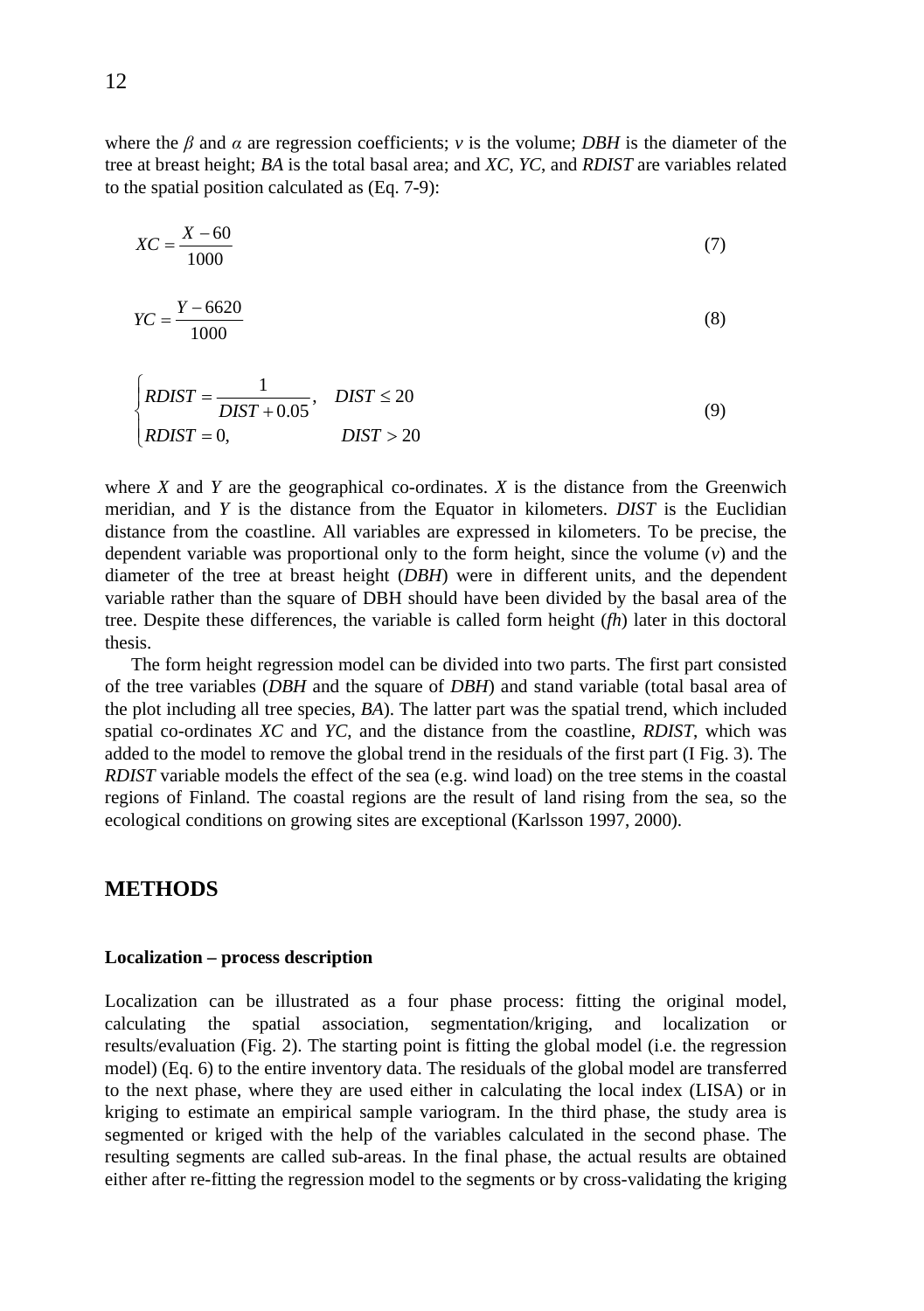where the  $\beta$  and  $\alpha$  are regression coefficients;  $\nu$  is the volume; *DBH* is the diameter of the tree at breast height; *BA* is the total basal area; and *XC*, *YC*, and *RDIST* are variables related to the spatial position calculated as (Eq. 7-9):

$$
XC = \frac{X - 60}{1000} \tag{7}
$$

$$
YC = \frac{Y - 6620}{1000}
$$
 (8)

$$
\begin{cases}\nRDIST = \frac{1}{DIST + 0.05}, & DIST \le 20 \\
RDIST = 0, & DIST > 20\n\end{cases}
$$
\n(9)

where *X* and *Y* are the geographical co-ordinates. *X* is the distance from the Greenwich meridian, and *Y* is the distance from the Equator in kilometers. *DIST* is the Euclidian distance from the coastline. All variables are expressed in kilometers. To be precise, the dependent variable was proportional only to the form height, since the volume (*v*) and the diameter of the tree at breast height (*DBH*) were in different units, and the dependent variable rather than the square of DBH should have been divided by the basal area of the tree. Despite these differences, the variable is called form height (*fh*) later in this doctoral thesis.

The form height regression model can be divided into two parts. The first part consisted of the tree variables (*DBH* and the square of *DBH*) and stand variable (total basal area of the plot including all tree species, *BA*). The latter part was the spatial trend, which included spatial co-ordinates *XC* and *YC*, and the distance from the coastline, *RDIST*, which was added to the model to remove the global trend in the residuals of the first part (I Fig. 3). The *RDIST* variable models the effect of the sea (e.g. wind load) on the tree stems in the coastal regions of Finland. The coastal regions are the result of land rising from the sea, so the ecological conditions on growing sites are exceptional (Karlsson 1997, 2000).

# **METHODS**

#### **Localization – process description**

Localization can be illustrated as a four phase process: fitting the original model,  $c$ alculating the spatial association, segmentation/kriging, and localization results/evaluation (Fig. 2). The starting point is fitting the global model (i.e. the regression model) (Eq. 6) to the entire inventory data. The residuals of the global model are transferred to the next phase, where they are used either in calculating the local index (LISA) or in kriging to estimate an empirical sample variogram. In the third phase, the study area is segmented or kriged with the help of the variables calculated in the second phase. The resulting segments are called sub-areas. In the final phase, the actual results are obtained either after re-fitting the regression model to the segments or by cross-validating the kriging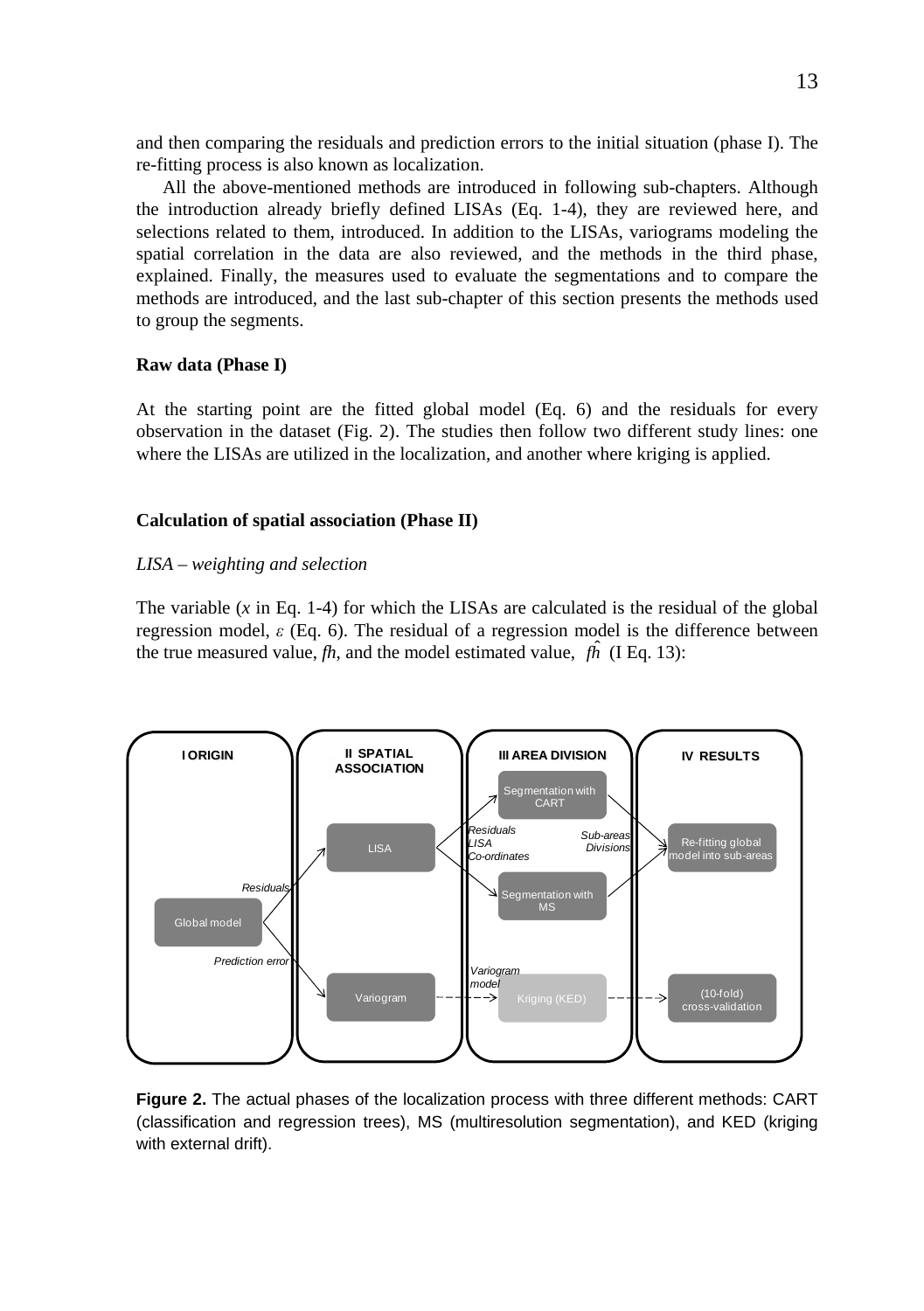and then comparing the residuals and prediction errors to the initial situation (phase I). The re-fitting process is also known as localization.

All the above-mentioned methods are introduced in following sub-chapters. Although the introduction already briefly defined LISAs (Eq. 1-4), they are reviewed here, and selections related to them, introduced. In addition to the LISAs, variograms modeling the spatial correlation in the data are also reviewed, and the methods in the third phase, explained. Finally, the measures used to evaluate the segmentations and to compare the methods are introduced, and the last sub-chapter of this section presents the methods used to group the segments.

### **Raw data (Phase I)**

At the starting point are the fitted global model (Eq. 6) and the residuals for every observation in the dataset (Fig. 2). The studies then follow two different study lines: one where the LISAs are utilized in the localization, and another where kriging is applied.

### **Calculation of spatial association (Phase II)**

### *LISA – weighting and selection*

The variable  $(x \text{ in Eq. 1-4})$  for which the LISAs are calculated is the residual of the global regression model,  $\varepsilon$  (Eq. 6). The residual of a regression model is the difference between the true measured value,  $fh$ , and the model estimated value,  $fh$  (I Eq. 13):



**Figure 2.** The actual phases of the localization process with three different methods: CART (classification and regression trees), MS (multiresolution segmentation), and KED (kriging with external drift).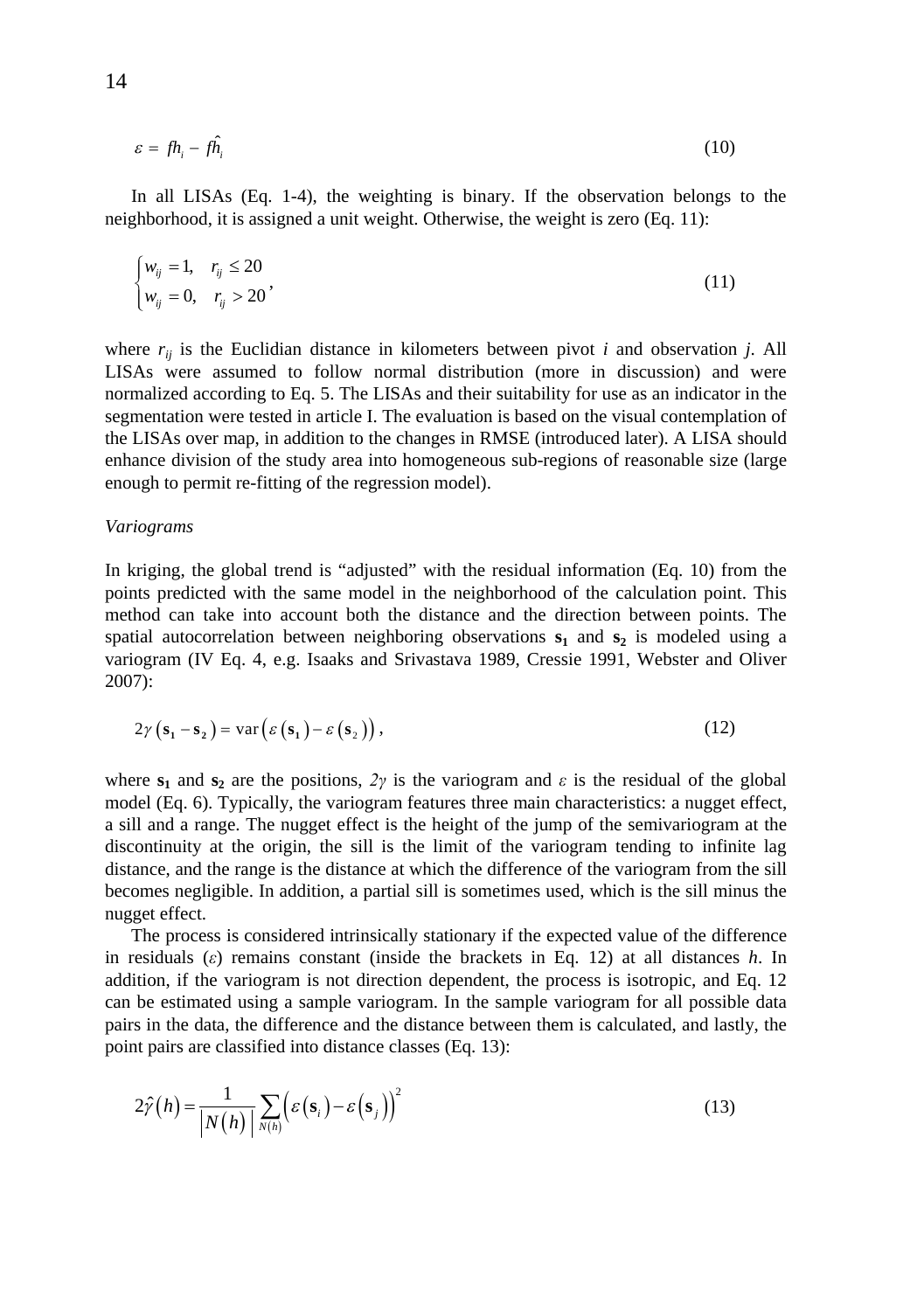$$
\varepsilon = f h_i - f \hat{h}_i \tag{10}
$$

In all LISAs (Eq. 1-4), the weighting is binary. If the observation belongs to the neighborhood, it is assigned a unit weight. Otherwise, the weight is zero (Eq. 11):

$$
\begin{cases} w_{ij} = 1, & r_{ij} \le 20 \\ w_{ij} = 0, & r_{ij} > 20 \end{cases}
$$
\n
$$
(11)
$$

where  $r_{ij}$  is the Euclidian distance in kilometers between pivot *i* and observation *j*. All LISAs were assumed to follow normal distribution (more in discussion) and were normalized according to Eq. 5. The LISAs and their suitability for use as an indicator in the segmentation were tested in article I. The evaluation is based on the visual contemplation of the LISAs over map, in addition to the changes in RMSE (introduced later). A LISA should enhance division of the study area into homogeneous sub-regions of reasonable size (large enough to permit re-fitting of the regression model).

#### *Variograms*

In kriging, the global trend is "adjusted" with the residual information (Eq. 10) from the points predicted with the same model in the neighborhood of the calculation point. This method can take into account both the distance and the direction between points. The spatial autocorrelation between neighboring observations **s1** and **s2** is modeled using a variogram (IV Eq. 4, e.g. Isaaks and Srivastava 1989, Cressie 1991, Webster and Oliver 2007):

$$
2\gamma\left(\mathbf{s}_1 - \mathbf{s}_2\right) = \text{var}\left(\varepsilon\left(\mathbf{s}_1\right) - \varepsilon\left(\mathbf{s}_2\right)\right),\tag{12}
$$

where  $s_1$  and  $s_2$  are the positions,  $2\gamma$  is the variogram and  $\epsilon$  is the residual of the global model (Eq. 6). Typically, the variogram features three main characteristics: a nugget effect, a sill and a range. The nugget effect is the height of the jump of the semivariogram at the discontinuity at the origin, the sill is the limit of the variogram tending to infinite lag distance, and the range is the distance at which the difference of the variogram from the sill becomes negligible. In addition, a partial sill is sometimes used, which is the sill minus the nugget effect.

The process is considered intrinsically stationary if the expected value of the difference in residuals  $(\varepsilon)$  remains constant (inside the brackets in Eq. 12) at all distances *h*. In addition, if the variogram is not direction dependent, the process is isotropic, and Eq. 12 can be estimated using a sample variogram. In the sample variogram for all possible data pairs in the data, the difference and the distance between them is calculated, and lastly, the point pairs are classified into distance classes (Eq. 13):

$$
2\hat{\gamma}(h) = \frac{1}{|N(h)|} \sum_{N(h)} \left(\varepsilon(\mathbf{s}_i) - \varepsilon(\mathbf{s}_j)\right)^2
$$
 (13)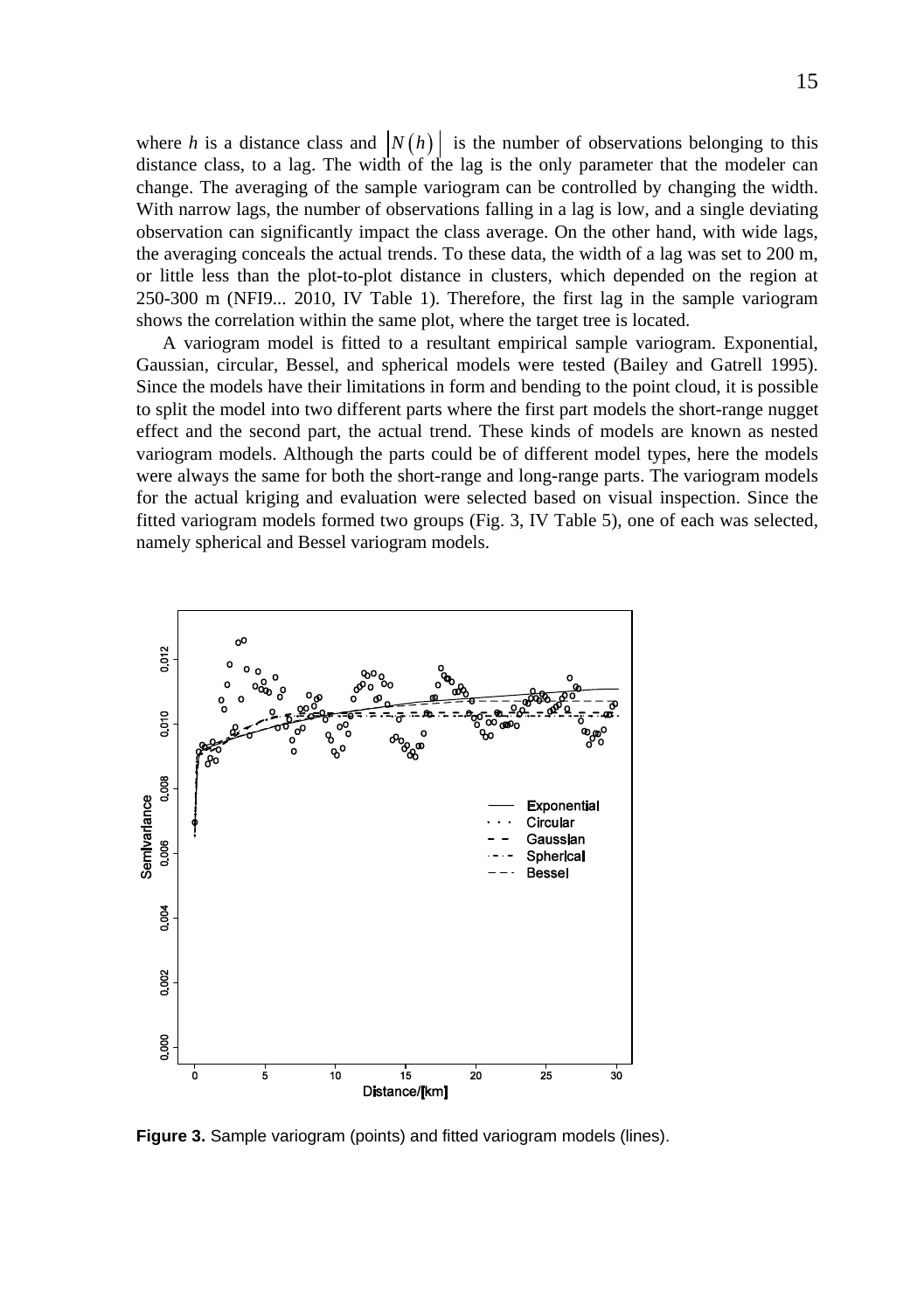where *h* is a distance class and  $|N(h)|$  is the number of observations belonging to this distance class, to a lag. The width of the lag is the only parameter that the modeler can change. The averaging of the sample variogram can be controlled by changing the width. With narrow lags, the number of observations falling in a lag is low, and a single deviating observation can significantly impact the class average. On the other hand, with wide lags, the averaging conceals the actual trends. To these data, the width of a lag was set to 200 m, or little less than the plot-to-plot distance in clusters, which depended on the region at 250-300 m (NFI9... 2010, IV Table 1). Therefore, the first lag in the sample variogram shows the correlation within the same plot, where the target tree is located.

A variogram model is fitted to a resultant empirical sample variogram. Exponential, Gaussian, circular, Bessel, and spherical models were tested (Bailey and Gatrell 1995). Since the models have their limitations in form and bending to the point cloud, it is possible to split the model into two different parts where the first part models the short-range nugget effect and the second part, the actual trend. These kinds of models are known as nested variogram models. Although the parts could be of different model types, here the models were always the same for both the short-range and long-range parts. The variogram models for the actual kriging and evaluation were selected based on visual inspection. Since the fitted variogram models formed two groups (Fig. 3, IV Table 5), one of each was selected, namely spherical and Bessel variogram models.



**Figure 3.** Sample variogram (points) and fitted variogram models (lines).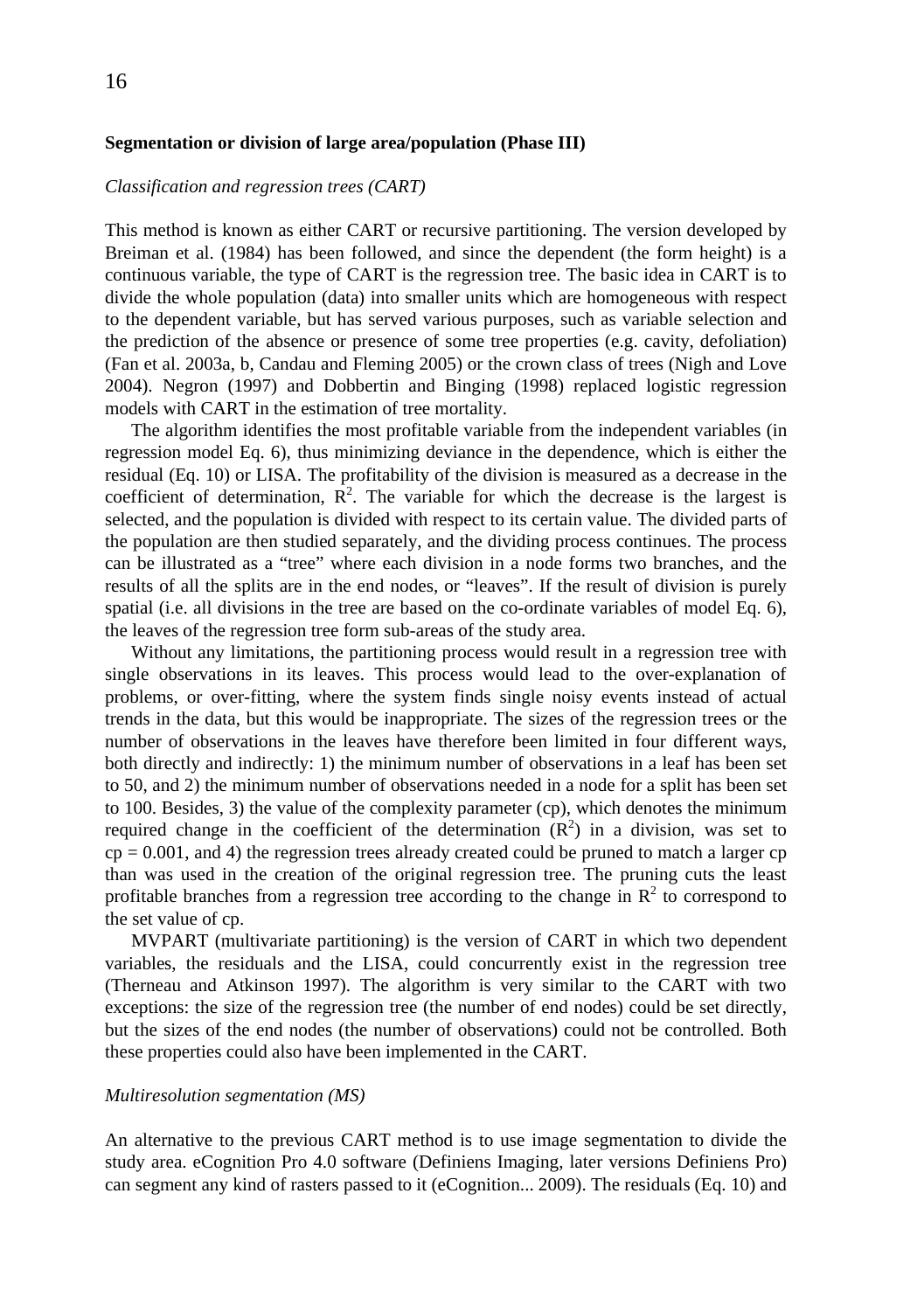# 16

#### **Segmentation or division of large area/population (Phase III)**

#### *Classification and regression trees (CART)*

This method is known as either CART or recursive partitioning. The version developed by Breiman et al. (1984) has been followed, and since the dependent (the form height) is a continuous variable, the type of CART is the regression tree. The basic idea in CART is to divide the whole population (data) into smaller units which are homogeneous with respect to the dependent variable, but has served various purposes, such as variable selection and the prediction of the absence or presence of some tree properties (e.g. cavity, defoliation) (Fan et al. 2003a, b, Candau and Fleming 2005) or the crown class of trees (Nigh and Love 2004). Negron (1997) and Dobbertin and Binging (1998) replaced logistic regression models with CART in the estimation of tree mortality.

The algorithm identifies the most profitable variable from the independent variables (in regression model Eq. 6), thus minimizing deviance in the dependence, which is either the residual (Eq. 10) or LISA. The profitability of the division is measured as a decrease in the coefficient of determination,  $\mathbb{R}^2$ . The variable for which the decrease is the largest is selected, and the population is divided with respect to its certain value. The divided parts of the population are then studied separately, and the dividing process continues. The process can be illustrated as a "tree" where each division in a node forms two branches, and the results of all the splits are in the end nodes, or "leaves". If the result of division is purely spatial (i.e. all divisions in the tree are based on the co-ordinate variables of model Eq. 6), the leaves of the regression tree form sub-areas of the study area.

Without any limitations, the partitioning process would result in a regression tree with single observations in its leaves. This process would lead to the over-explanation of problems, or over-fitting, where the system finds single noisy events instead of actual trends in the data, but this would be inappropriate. The sizes of the regression trees or the number of observations in the leaves have therefore been limited in four different ways, both directly and indirectly: 1) the minimum number of observations in a leaf has been set to 50, and 2) the minimum number of observations needed in a node for a split has been set to 100. Besides, 3) the value of the complexity parameter (cp), which denotes the minimum required change in the coefficient of the determination  $(R^2)$  in a division, was set to  $cp = 0.001$ , and 4) the regression trees already created could be pruned to match a larger cp than was used in the creation of the original regression tree. The pruning cuts the least profitable branches from a regression tree according to the change in  $\mathbb{R}^2$  to correspond to the set value of cp.

MVPART (multivariate partitioning) is the version of CART in which two dependent variables, the residuals and the LISA, could concurrently exist in the regression tree (Therneau and Atkinson 1997). The algorithm is very similar to the CART with two exceptions: the size of the regression tree (the number of end nodes) could be set directly, but the sizes of the end nodes (the number of observations) could not be controlled. Both these properties could also have been implemented in the CART.

#### *Multiresolution segmentation (MS)*

An alternative to the previous CART method is to use image segmentation to divide the study area. eCognition Pro 4.0 software (Definiens Imaging, later versions Definiens Pro) can segment any kind of rasters passed to it (eCognition... 2009). The residuals (Eq. 10) and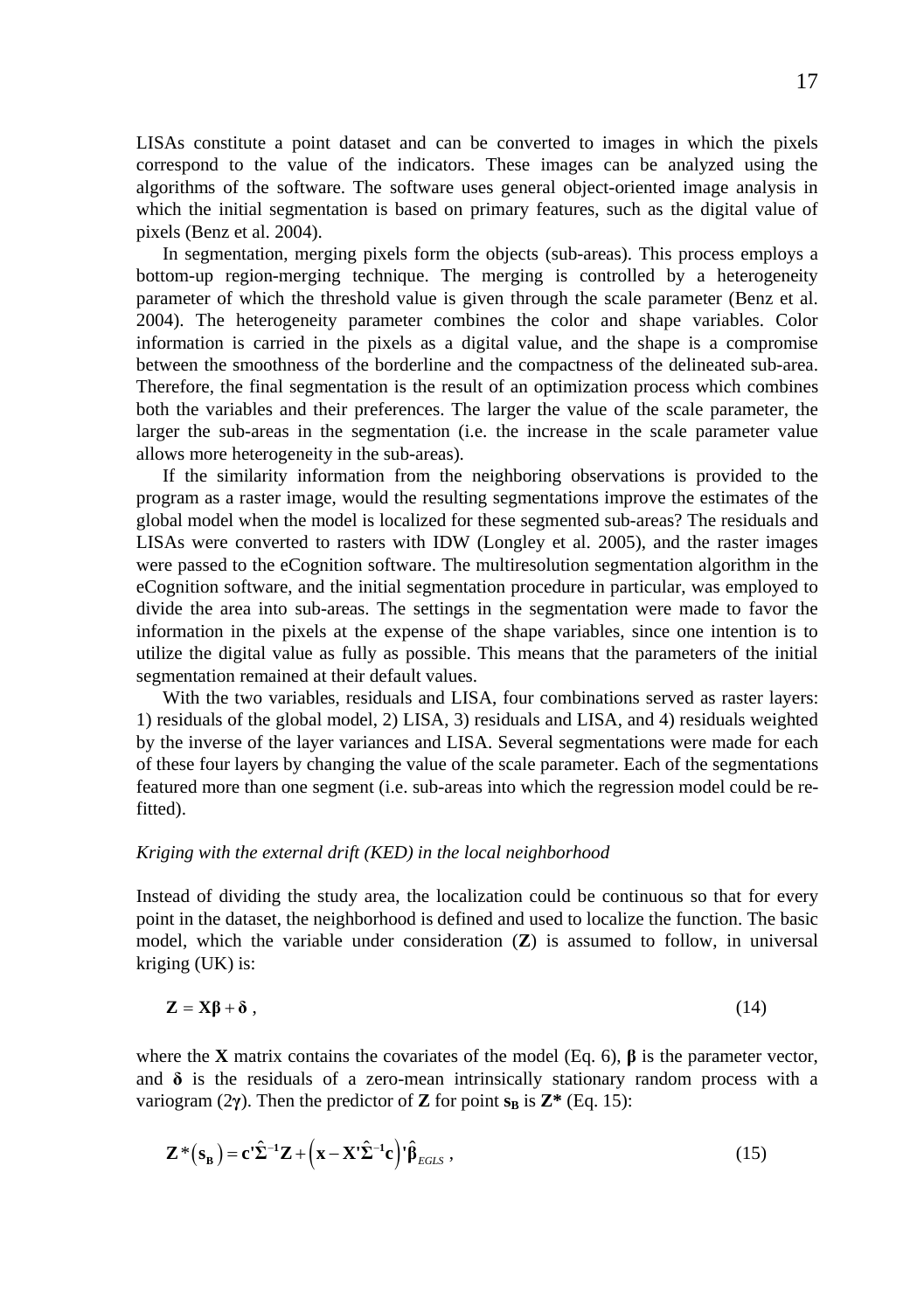LISAs constitute a point dataset and can be converted to images in which the pixels correspond to the value of the indicators. These images can be analyzed using the algorithms of the software. The software uses general object-oriented image analysis in which the initial segmentation is based on primary features, such as the digital value of pixels (Benz et al. 2004).

In segmentation, merging pixels form the objects (sub-areas). This process employs a bottom-up region-merging technique. The merging is controlled by a heterogeneity parameter of which the threshold value is given through the scale parameter (Benz et al. 2004). The heterogeneity parameter combines the color and shape variables. Color information is carried in the pixels as a digital value, and the shape is a compromise between the smoothness of the borderline and the compactness of the delineated sub-area. Therefore, the final segmentation is the result of an optimization process which combines both the variables and their preferences. The larger the value of the scale parameter, the larger the sub-areas in the segmentation (i.e. the increase in the scale parameter value allows more heterogeneity in the sub-areas).

If the similarity information from the neighboring observations is provided to the program as a raster image, would the resulting segmentations improve the estimates of the global model when the model is localized for these segmented sub-areas? The residuals and LISAs were converted to rasters with IDW (Longley et al. 2005), and the raster images were passed to the eCognition software. The multiresolution segmentation algorithm in the eCognition software, and the initial segmentation procedure in particular, was employed to divide the area into sub-areas. The settings in the segmentation were made to favor the information in the pixels at the expense of the shape variables, since one intention is to utilize the digital value as fully as possible. This means that the parameters of the initial segmentation remained at their default values.

With the two variables, residuals and LISA, four combinations served as raster layers: 1) residuals of the global model, 2) LISA, 3) residuals and LISA, and 4) residuals weighted by the inverse of the layer variances and LISA. Several segmentations were made for each of these four layers by changing the value of the scale parameter. Each of the segmentations featured more than one segment (i.e. sub-areas into which the regression model could be refitted).

### *Kriging with the external drift (KED) in the local neighborhood*

Instead of dividing the study area, the localization could be continuous so that for every point in the dataset, the neighborhood is defined and used to localize the function. The basic model, which the variable under consideration (**Z**) is assumed to follow, in universal kriging (UK) is:

$$
\mathbf{Z} = \mathbf{X}\boldsymbol{\beta} + \boldsymbol{\delta} \,,\tag{14}
$$

where the **X** matrix contains the covariates of the model (Eq. 6),  $\beta$  is the parameter vector, and  $\delta$  is the residuals of a zero-mean intrinsically stationary random process with a variogram (2 $\gamma$ ). Then the predictor of **Z** for point  $s_B$  is **Z**\* (Eq. 15):

$$
\mathbf{Z}^*({\mathbf{s}}_{\mathbf{B}}) = \mathbf{c}^{\mathbf{t}} \hat{\mathbf{\Sigma}}^{-1} \mathbf{Z} + \left(\mathbf{x} - \mathbf{X}^{\mathbf{t}} \hat{\mathbf{\Sigma}}^{-1} \mathbf{c}\right)^{\mathbf{t}} \hat{\mathbf{\beta}}_{EGLS} ,
$$
 (15)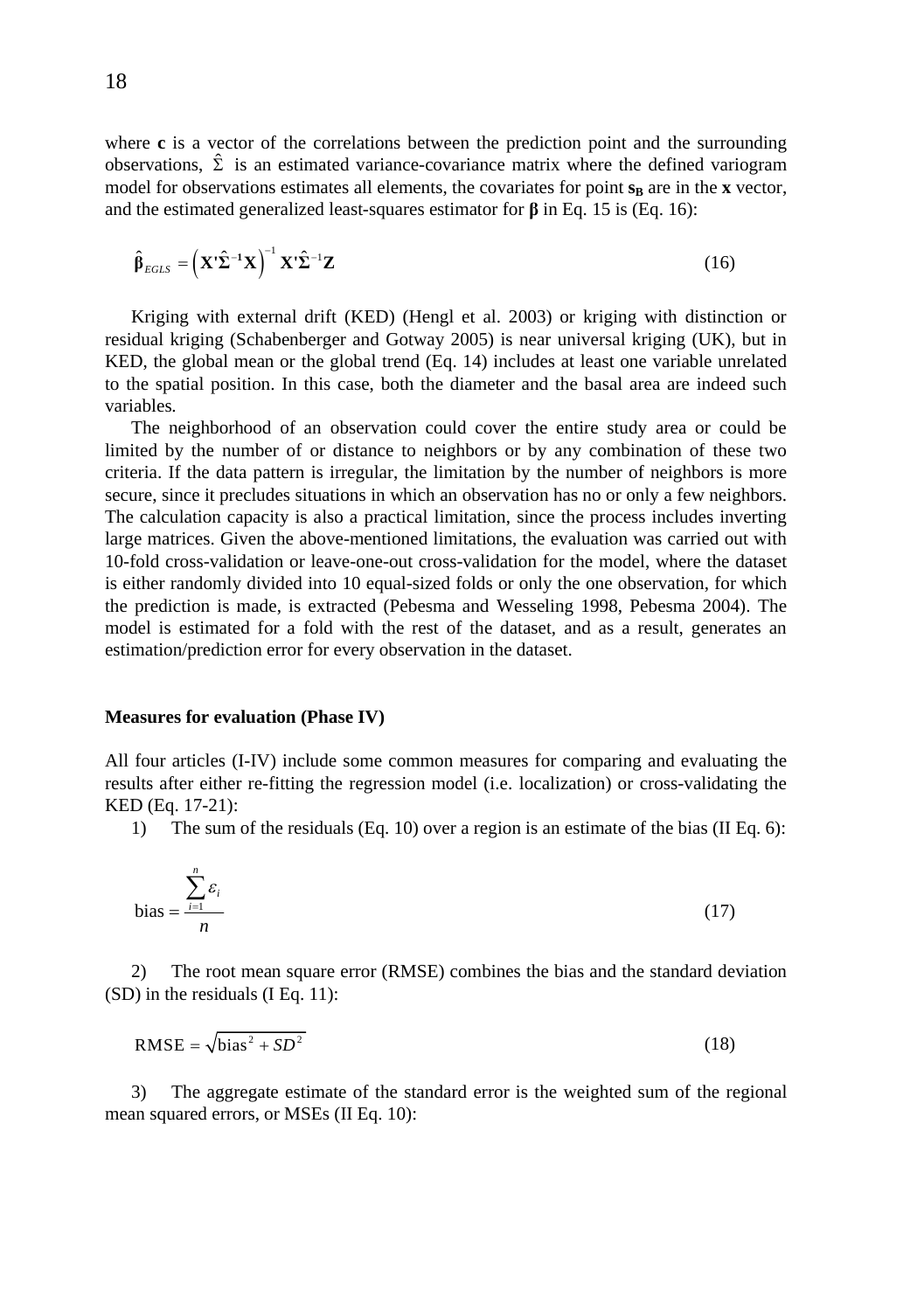where **c** is a vector of the correlations between the prediction point and the surrounding observations,  $\hat{\Sigma}$  is an estimated variance-covariance matrix where the defined variogram model for observations estimates all elements, the covariates for point  $s_R$  are in the **x** vector, and the estimated generalized least-squares estimator for  $\beta$  in Eq. 15 is (Eq. 16):

$$
\hat{\boldsymbol{\beta}}_{EGLS} = \left(\mathbf{X}'\hat{\boldsymbol{\Sigma}}^{-1}\mathbf{X}\right)^{-1}\mathbf{X}'\hat{\boldsymbol{\Sigma}}^{-1}\mathbf{Z}
$$
\n(16)

Kriging with external drift (KED) (Hengl et al. 2003) or kriging with distinction or residual kriging (Schabenberger and Gotway 2005) is near universal kriging (UK), but in KED, the global mean or the global trend (Eq. 14) includes at least one variable unrelated to the spatial position. In this case, both the diameter and the basal area are indeed such variables.

The neighborhood of an observation could cover the entire study area or could be limited by the number of or distance to neighbors or by any combination of these two criteria. If the data pattern is irregular, the limitation by the number of neighbors is more secure, since it precludes situations in which an observation has no or only a few neighbors. The calculation capacity is also a practical limitation, since the process includes inverting large matrices. Given the above-mentioned limitations, the evaluation was carried out with 10-fold cross-validation or leave-one-out cross-validation for the model, where the dataset is either randomly divided into 10 equal-sized folds or only the one observation, for which the prediction is made, is extracted (Pebesma and Wesseling 1998, Pebesma 2004). The model is estimated for a fold with the rest of the dataset, and as a result, generates an estimation/prediction error for every observation in the dataset.

#### **Measures for evaluation (Phase IV)**

All four articles (I-IV) include some common measures for comparing and evaluating the results after either re-fitting the regression model (i.e. localization) or cross-validating the KED (Eq. 17-21):

1) The sum of the residuals (Eq. 10) over a region is an estimate of the bias (II Eq. 6):

bias = 
$$
\frac{\sum_{i=1}^{n} \varepsilon_i}{n}
$$
 (17)

2) The root mean square error (RMSE) combines the bias and the standard deviation (SD) in the residuals (I Eq. 11):

$$
RMSE = \sqrt{bias^2 + SD^2}
$$
 (18)

3) The aggregate estimate of the standard error is the weighted sum of the regional mean squared errors, or MSEs (II Eq. 10):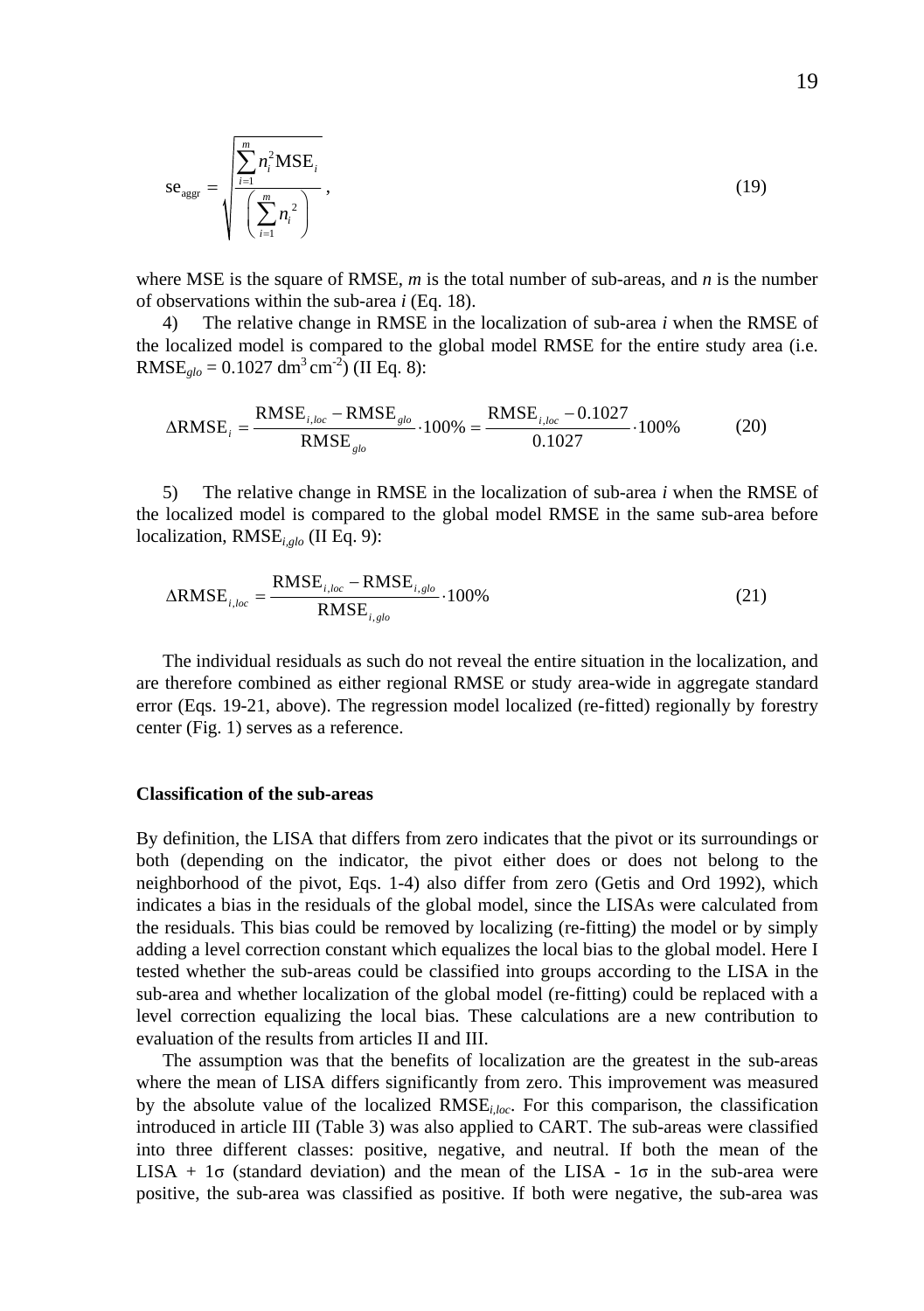$$
se_{\text{ager}} = \sqrt{\frac{\sum_{i=1}^{m} n_i^2 \text{MSE}_i}{\left(\sum_{i=1}^{m} n_i^2\right)}},
$$
(19)

where MSE is the square of RMSE, *m* is the total number of sub-areas, and *n* is the number of observations within the sub-area *i* (Eq. 18).

4) The relative change in RMSE in the localization of sub-area *i* when the RMSE of the localized model is compared to the global model RMSE for the entire study area (i.e. RMSE<sub>glo</sub> =  $0.1027$  dm<sup>3</sup> cm<sup>-2</sup>) (II Eq. 8):

$$
\Delta RMSE_i = \frac{RMSE_{i,loc} - RMSE_{glo}}{RMSE_{glo}} \cdot 100\% = \frac{RMSE_{i,loc} - 0.1027}{0.1027} \cdot 100\% \tag{20}
$$

5) The relative change in RMSE in the localization of sub-area *i* when the RMSE of the localized model is compared to the global model RMSE in the same sub-area before localization, RMSE*i,glo* (II Eq. 9):

$$
\Delta RMSE_{i,loc} = \frac{RMSE_{i,loc} - RMSE_{i,glo}}{RMSE_{i,glo}} \cdot 100\%
$$
\n(21)

The individual residuals as such do not reveal the entire situation in the localization, and are therefore combined as either regional RMSE or study area-wide in aggregate standard error (Eqs. 19-21, above). The regression model localized (re-fitted) regionally by forestry center (Fig. 1) serves as a reference.

#### **Classification of the sub-areas**

By definition, the LISA that differs from zero indicates that the pivot or its surroundings or both (depending on the indicator, the pivot either does or does not belong to the neighborhood of the pivot, Eqs. 1-4) also differ from zero (Getis and Ord 1992), which indicates a bias in the residuals of the global model, since the LISAs were calculated from the residuals. This bias could be removed by localizing (re-fitting) the model or by simply adding a level correction constant which equalizes the local bias to the global model. Here I tested whether the sub-areas could be classified into groups according to the LISA in the sub-area and whether localization of the global model (re-fitting) could be replaced with a level correction equalizing the local bias. These calculations are a new contribution to evaluation of the results from articles II and III.

The assumption was that the benefits of localization are the greatest in the sub-areas where the mean of LISA differs significantly from zero. This improvement was measured by the absolute value of the localized RMSE*i,loc*. For this comparison, the classification introduced in article III (Table 3) was also applied to CART. The sub-areas were classified into three different classes: positive, negative, and neutral. If both the mean of the LISA + 1 $\sigma$  (standard deviation) and the mean of the LISA - 1 $\sigma$  in the sub-area were positive, the sub-area was classified as positive. If both were negative, the sub-area was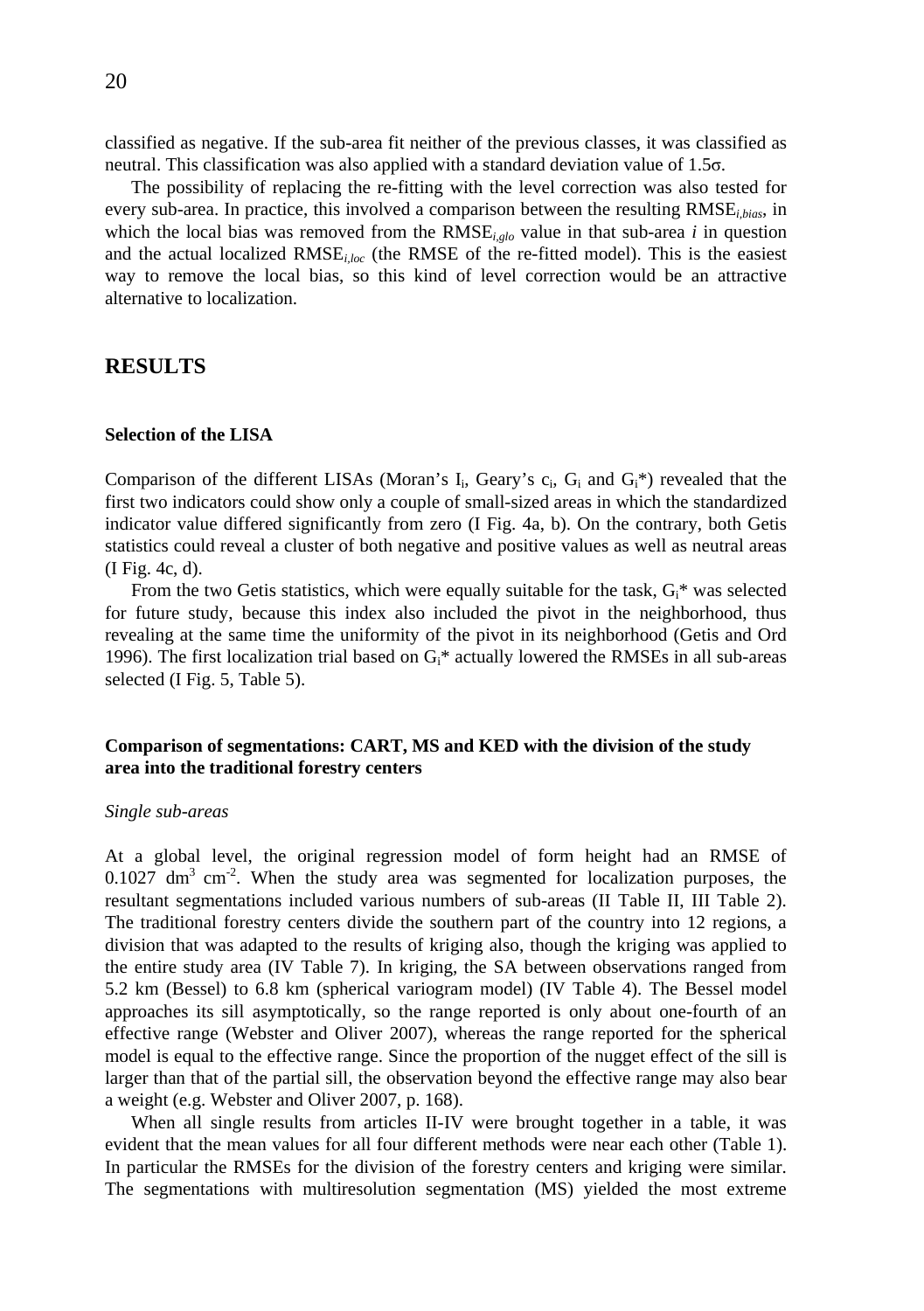classified as negative. If the sub-area fit neither of the previous classes, it was classified as neutral. This classification was also applied with a standard deviation value of  $1.5\sigma$ .

The possibility of replacing the re-fitting with the level correction was also tested for every sub-area. In practice, this involved a comparison between the resulting RMSE<sub>*ibias*</sub>, in which the local bias was removed from the RMSE*i,glo* value in that sub-area *i* in question and the actual localized  $RMSE<sub>iloc</sub>$  (the RMSE of the re-fitted model). This is the easiest way to remove the local bias, so this kind of level correction would be an attractive alternative to localization.

## **RESULTS**

### **Selection of the LISA**

Comparison of the different LISAs (Moran's  $I_i$ , Geary's  $c_i$ ,  $G_i$  and  $G_i^*$ ) revealed that the first two indicators could show only a couple of small-sized areas in which the standardized indicator value differed significantly from zero (I Fig. 4a, b). On the contrary, both Getis statistics could reveal a cluster of both negative and positive values as well as neutral areas (I Fig. 4c, d).

From the two Getis statistics, which were equally suitable for the task,  $G_i^*$  was selected for future study, because this index also included the pivot in the neighborhood, thus revealing at the same time the uniformity of the pivot in its neighborhood (Getis and Ord 1996). The first localization trial based on  $G_i^*$  actually lowered the RMSEs in all sub-areas selected (I Fig. 5, Table 5).

### **Comparison of segmentations: CART, MS and KED with the division of the study area into the traditional forestry centers**

#### *Single sub-areas*

At a global level, the original regression model of form height had an RMSE of  $0.1027$  dm<sup>3</sup> cm<sup>-2</sup>. When the study area was segmented for localization purposes, the resultant segmentations included various numbers of sub-areas (II Table II, III Table 2). The traditional forestry centers divide the southern part of the country into 12 regions, a division that was adapted to the results of kriging also, though the kriging was applied to the entire study area (IV Table 7). In kriging, the SA between observations ranged from 5.2 km (Bessel) to 6.8 km (spherical variogram model) (IV Table 4). The Bessel model approaches its sill asymptotically, so the range reported is only about one-fourth of an effective range (Webster and Oliver 2007), whereas the range reported for the spherical model is equal to the effective range. Since the proportion of the nugget effect of the sill is larger than that of the partial sill, the observation beyond the effective range may also bear a weight (e.g. Webster and Oliver 2007, p. 168).

When all single results from articles II-IV were brought together in a table, it was evident that the mean values for all four different methods were near each other (Table 1). In particular the RMSEs for the division of the forestry centers and kriging were similar. The segmentations with multiresolution segmentation (MS) yielded the most extreme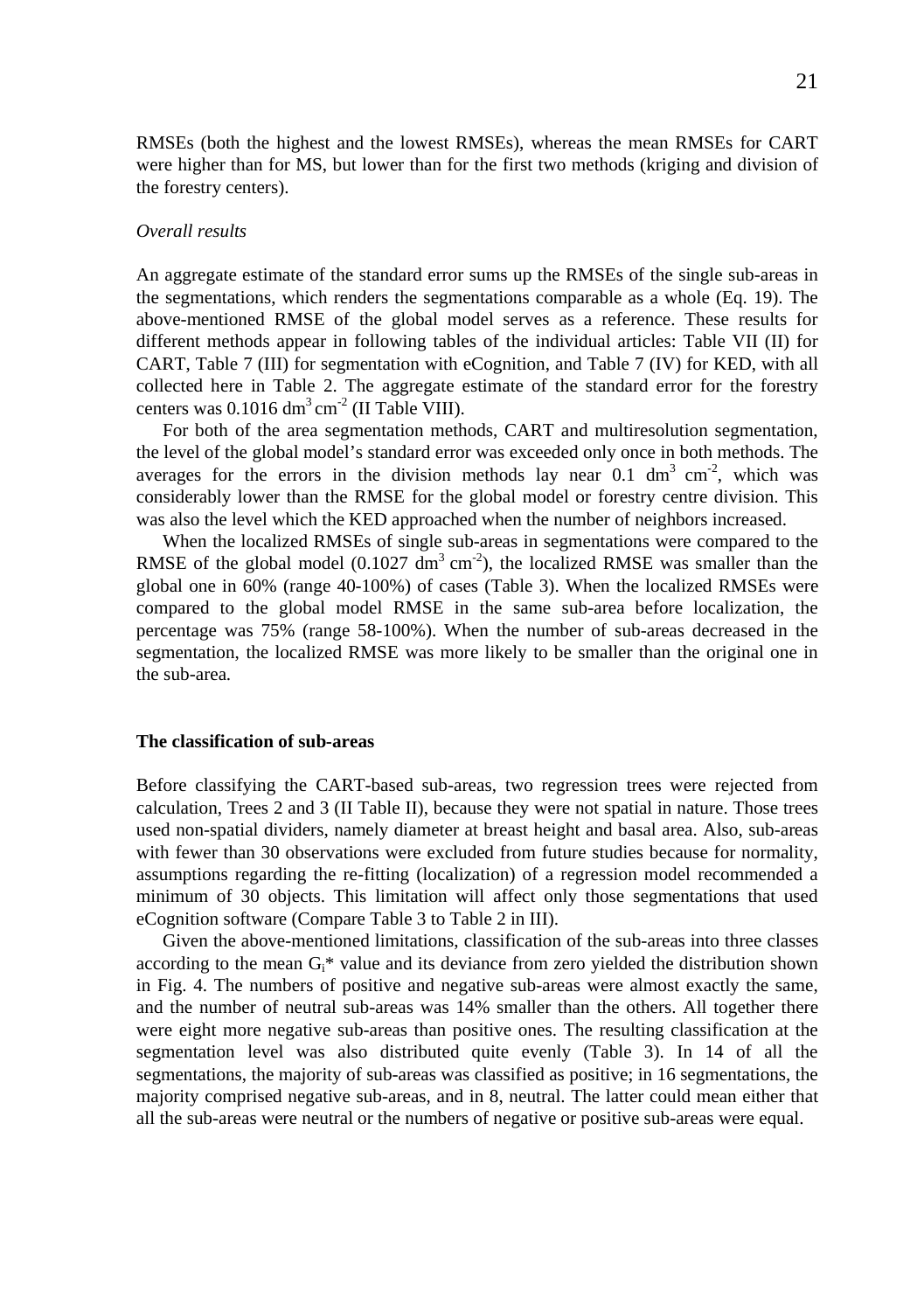RMSEs (both the highest and the lowest RMSEs), whereas the mean RMSEs for CART were higher than for MS, but lower than for the first two methods (kriging and division of the forestry centers).

#### *Overall results*

An aggregate estimate of the standard error sums up the RMSEs of the single sub-areas in the segmentations, which renders the segmentations comparable as a whole (Eq. 19). The above-mentioned RMSE of the global model serves as a reference. These results for different methods appear in following tables of the individual articles: Table VII (II) for CART, Table 7 (III) for segmentation with eCognition, and Table 7 (IV) for KED, with all collected here in Table 2. The aggregate estimate of the standard error for the forestry centers was  $0.1016 \text{ dm}^3 \text{ cm}^{-2}$  (II Table VIII).

For both of the area segmentation methods, CART and multiresolution segmentation, the level of the global model's standard error was exceeded only once in both methods. The averages for the errors in the division methods lay near 0.1 dm<sup>3</sup> cm<sup>-2</sup>, which was considerably lower than the RMSE for the global model or forestry centre division. This was also the level which the KED approached when the number of neighbors increased.

When the localized RMSEs of single sub-areas in segmentations were compared to the RMSE of the global model (0.1027 dm<sup>3</sup> cm<sup>-2</sup>), the localized RMSE was smaller than the global one in 60% (range 40-100%) of cases (Table 3). When the localized RMSEs were compared to the global model RMSE in the same sub-area before localization, the percentage was 75% (range 58-100%). When the number of sub-areas decreased in the segmentation, the localized RMSE was more likely to be smaller than the original one in the sub-area.

#### **The classification of sub-areas**

Before classifying the CART-based sub-areas, two regression trees were rejected from calculation, Trees 2 and 3 (II Table II), because they were not spatial in nature. Those trees used non-spatial dividers, namely diameter at breast height and basal area. Also, sub-areas with fewer than 30 observations were excluded from future studies because for normality, assumptions regarding the re-fitting (localization) of a regression model recommended a minimum of 30 objects. This limitation will affect only those segmentations that used eCognition software (Compare Table 3 to Table 2 in III).

Given the above-mentioned limitations, classification of the sub-areas into three classes according to the mean  $G_i^*$  value and its deviance from zero yielded the distribution shown in Fig. 4. The numbers of positive and negative sub-areas were almost exactly the same, and the number of neutral sub-areas was 14% smaller than the others. All together there were eight more negative sub-areas than positive ones. The resulting classification at the segmentation level was also distributed quite evenly (Table 3). In 14 of all the segmentations, the majority of sub-areas was classified as positive; in 16 segmentations, the majority comprised negative sub-areas, and in 8, neutral. The latter could mean either that all the sub-areas were neutral or the numbers of negative or positive sub-areas were equal.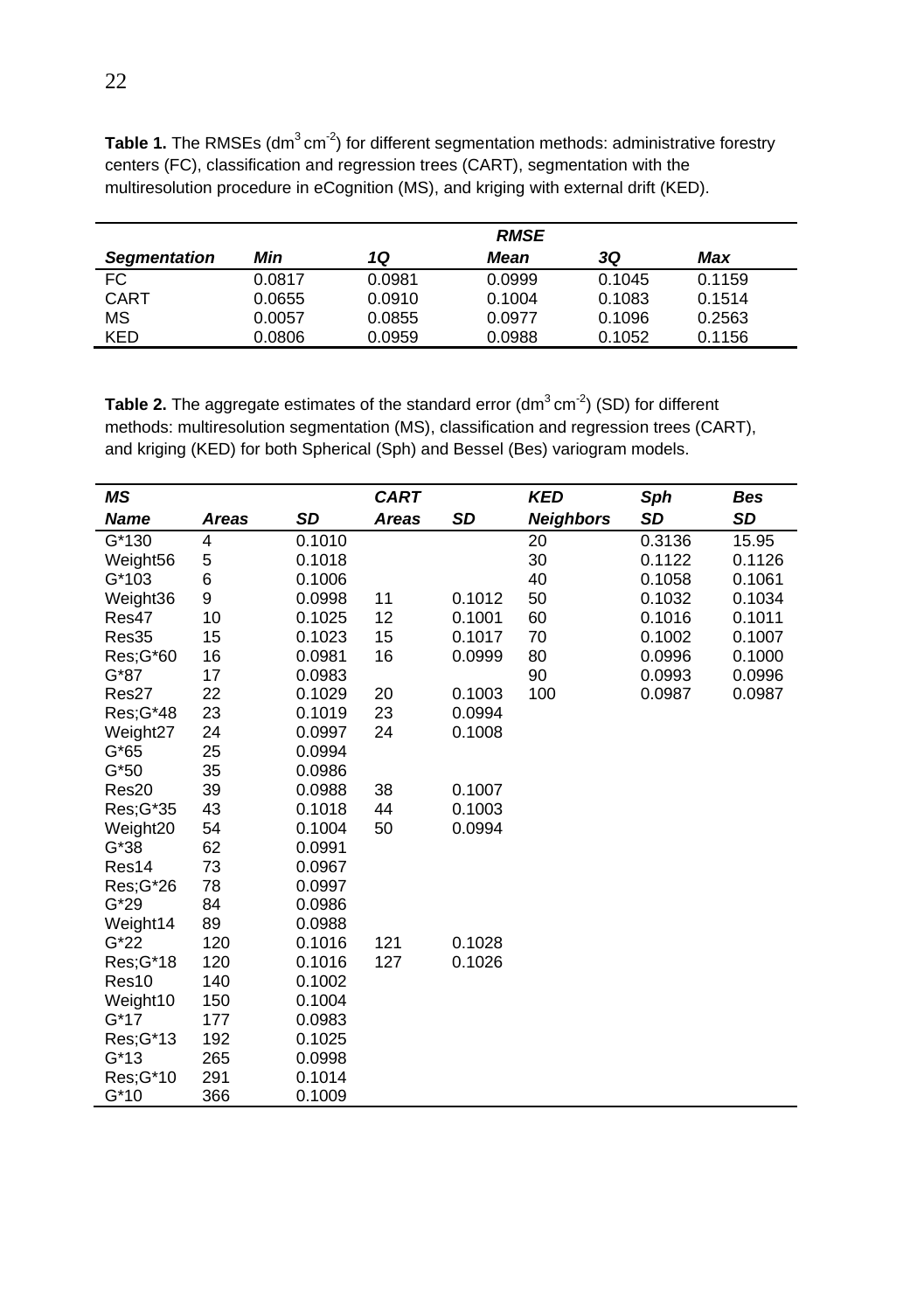|                     | <b>RMSE</b> |        |        |        |        |  |
|---------------------|-------------|--------|--------|--------|--------|--|
| <b>Segmentation</b> | Min         | 1Q     | Mean   | 3Q     | Max    |  |
| FC.                 | 0.0817      | 0.0981 | 0.0999 | 0.1045 | 0.1159 |  |
| CART                | 0.0655      | 0.0910 | 0.1004 | 0.1083 | 0.1514 |  |
| ΜS                  | 0.0057      | 0.0855 | 0.0977 | 0.1096 | 0.2563 |  |
| KED                 | 0.0806      | 0.0959 | 0.0988 | 0.1052 | 0.1156 |  |

**Table 1.** The RMSEs (dm<sup>3</sup> cm<sup>-2</sup>) for different segmentation methods: administrative forestry centers (FC), classification and regression trees (CART), segmentation with the multiresolution procedure in eCognition (MS), and kriging with external drift (KED).

**Table 2.** The aggregate estimates of the standard error (dm<sup>3</sup>cm<sup>-2</sup>) (SD) for different methods: multiresolution segmentation (MS), classification and regression trees (CART), and kriging (KED) for both Spherical (Sph) and Bessel (Bes) variogram models.

| ΜS          |       |        | <b>CART</b> |        | KED              | Sph       | Bes    |
|-------------|-------|--------|-------------|--------|------------------|-----------|--------|
| <b>Name</b> | Areas | SD     | Areas       | SD     | <b>Neighbors</b> | <b>SD</b> | SD     |
| G*130       | 4     | 0.1010 |             |        | 20               | 0.3136    | 15.95  |
| Weight56    | 5     | 0.1018 |             |        | 30               | 0.1122    | 0.1126 |
| G*103       | 6     | 0.1006 |             |        | 40               | 0.1058    | 0.1061 |
| Weight36    | 9     | 0.0998 | 11          | 0.1012 | 50               | 0.1032    | 0.1034 |
| Res47       | 10    | 0.1025 | 12          | 0.1001 | 60               | 0.1016    | 0.1011 |
| Res35       | 15    | 0.1023 | 15          | 0.1017 | 70               | 0.1002    | 0.1007 |
| Res;G*60    | 16    | 0.0981 | 16          | 0.0999 | 80               | 0.0996    | 0.1000 |
| G*87        | 17    | 0.0983 |             |        | 90               | 0.0993    | 0.0996 |
| Res27       | 22    | 0.1029 | 20          | 0.1003 | 100              | 0.0987    | 0.0987 |
| Res: G*48   | 23    | 0.1019 | 23          | 0.0994 |                  |           |        |
| Weight27    | 24    | 0.0997 | 24          | 0.1008 |                  |           |        |
| G*65        | 25    | 0.0994 |             |        |                  |           |        |
| $G*50$      | 35    | 0.0986 |             |        |                  |           |        |
| Res20       | 39    | 0.0988 | 38          | 0.1007 |                  |           |        |
| Res;G*35    | 43    | 0.1018 | 44          | 0.1003 |                  |           |        |
| Weight20    | 54    | 0.1004 | 50          | 0.0994 |                  |           |        |
| G*38        | 62    | 0.0991 |             |        |                  |           |        |
| Res14       | 73    | 0.0967 |             |        |                  |           |        |
| Res:G*26    | 78    | 0.0997 |             |        |                  |           |        |
| $G*29$      | 84    | 0.0986 |             |        |                  |           |        |
| Weight14    | 89    | 0.0988 |             |        |                  |           |        |
| $G*22$      | 120   | 0.1016 | 121         | 0.1028 |                  |           |        |
| Res; G*18   | 120   | 0.1016 | 127         | 0.1026 |                  |           |        |
| Res10       | 140   | 0.1002 |             |        |                  |           |        |
| Weight10    | 150   | 0.1004 |             |        |                  |           |        |
| G*17        | 177   | 0.0983 |             |        |                  |           |        |
| Res; G*13   | 192   | 0.1025 |             |        |                  |           |        |
| G*13        | 265   | 0.0998 |             |        |                  |           |        |
| Res; G*10   | 291   | 0.1014 |             |        |                  |           |        |
| $G*10$      | 366   | 0.1009 |             |        |                  |           |        |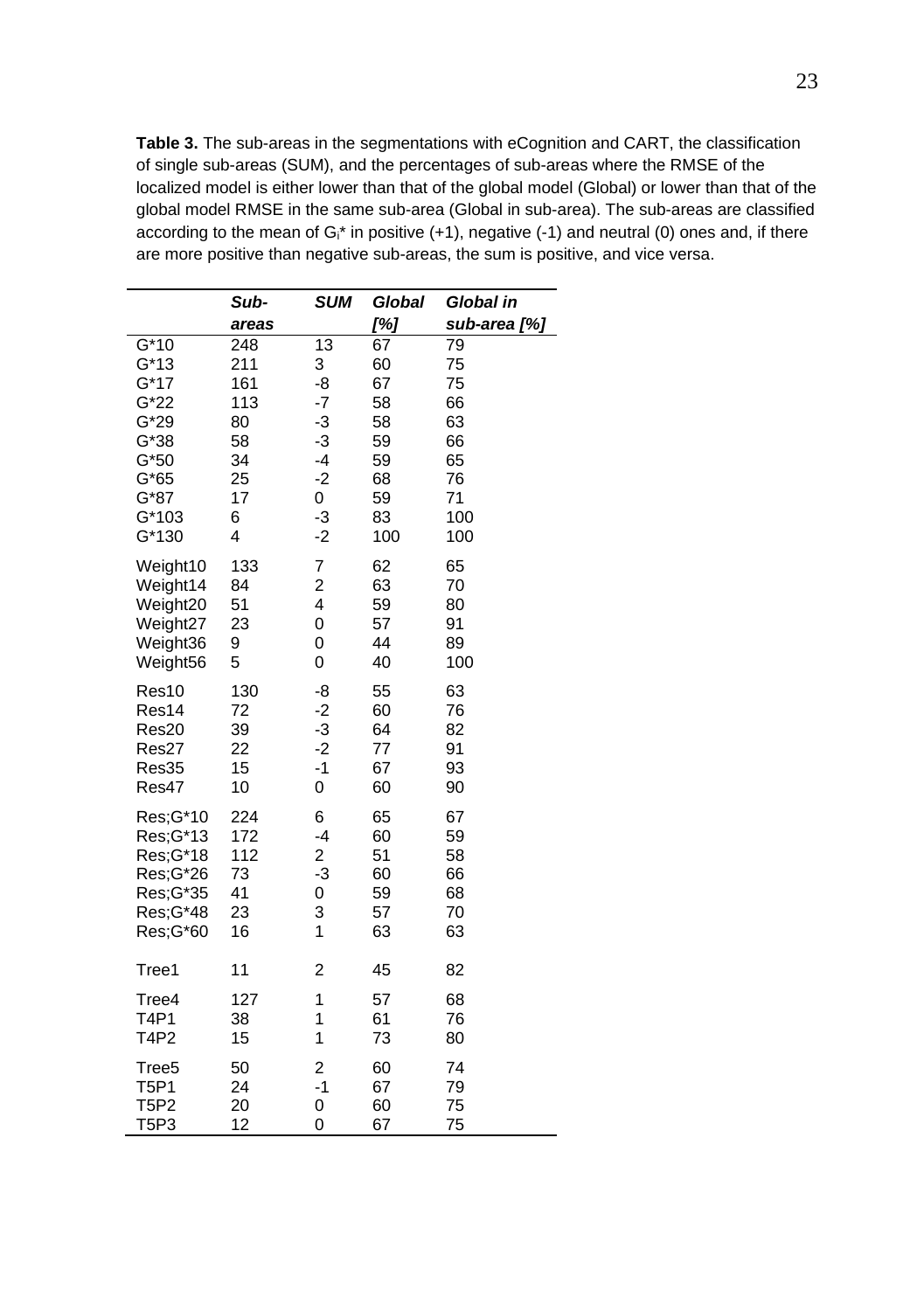**Table 3.** The sub-areas in the segmentations with eCognition and CART, the classification of single sub-areas (SUM), and the percentages of sub-areas where the RMSE of the localized model is either lower than that of the global model (Global) or lower than that of the global model RMSE in the same sub-area (Global in sub-area). The sub-areas are classified according to the mean of  $G_i^*$  in positive (+1), negative (-1) and neutral (0) ones and, if there are more positive than negative sub-areas, the sum is positive, and vice versa.

|                   | Sub-  | <b>SUM</b>              | Global | Global in    |
|-------------------|-------|-------------------------|--------|--------------|
|                   | areas |                         | [%]    | sub-area [%] |
| $G*10$            | 248   | 13                      | 67     | 79           |
| $G*13$            | 211   | 3                       | 60     | 75           |
| $G^*17$           | 161   | -8                      | 67     | 75           |
| $G*22$            | 113   | $-7$                    | 58     | 66           |
| $G*29$            | 80    | $-3$                    | 58     | 63           |
| $G*38$            | 58    | -3                      | 59     | 66           |
| $G*50$            | 34    | -4                      | 59     | 65           |
| $G*65$            | 25    | $-2$                    | 68     | 76           |
| G*87              | 17    | 0                       | 59     | 71           |
| $G*103$           | 6     | $-3$                    | 83     | 100          |
| G*130             | 4     | $-2$                    | 100    | 100          |
| Weight10          | 133   | $\overline{7}$          | 62     | 65           |
| Weight14          | 84    | $\overline{c}$          | 63     | 70           |
| Weight20          | 51    | 4                       | 59     | 80           |
| Weight27          | 23    | 0                       | 57     | 91           |
| Weight36          | 9     | 0                       | 44     | 89           |
| Weight56          | 5     | 0                       | 40     | 100          |
| Res10             | 130   | -8                      | 55     | 63           |
| Res14             | 72    | $-2$                    | 60     | 76           |
| Res20             | 39    | -3                      | 64     | 82           |
| Res27             | 22    | $-2$                    | 77     | 91           |
| Res35             | 15    | $-1$                    | 67     | 93           |
| Res47             | 10    | 0                       | 60     | 90           |
| Res; G*10         | 224   | 6                       | 65     | 67           |
| Res;G*13          | 172   | -4                      | 60     | 59           |
| Res;G*18          | 112   | $\overline{\mathbf{c}}$ | 51     | 58           |
| Res;G*26          | 73    | $-3$                    | 60     | 66           |
| Res; G*35         | 41    | 0                       | 59     | 68           |
| Res; G*48         | 23    | 3                       | 57     | 70           |
| Res; G*60         | 16    | 1                       | 63     | 63           |
| Tree1             | 11    | $\overline{c}$          | 45     | 82           |
| Tree4             | 127   | 1                       | 57     | 68           |
| T4P1              | 38    | 1                       | 61     | 76           |
| <b>T4P2</b>       | 15    | 1                       | 73     | 80           |
| Tree <sub>5</sub> | 50    | $\overline{\mathbf{c}}$ | 60     | 74           |
| T5P1              | 24    | $-1$                    | 67     | 79           |
| <b>T5P2</b>       | 20    | 0                       | 60     | 75           |
| T5P3              | 12    | 0                       | 67     | 75           |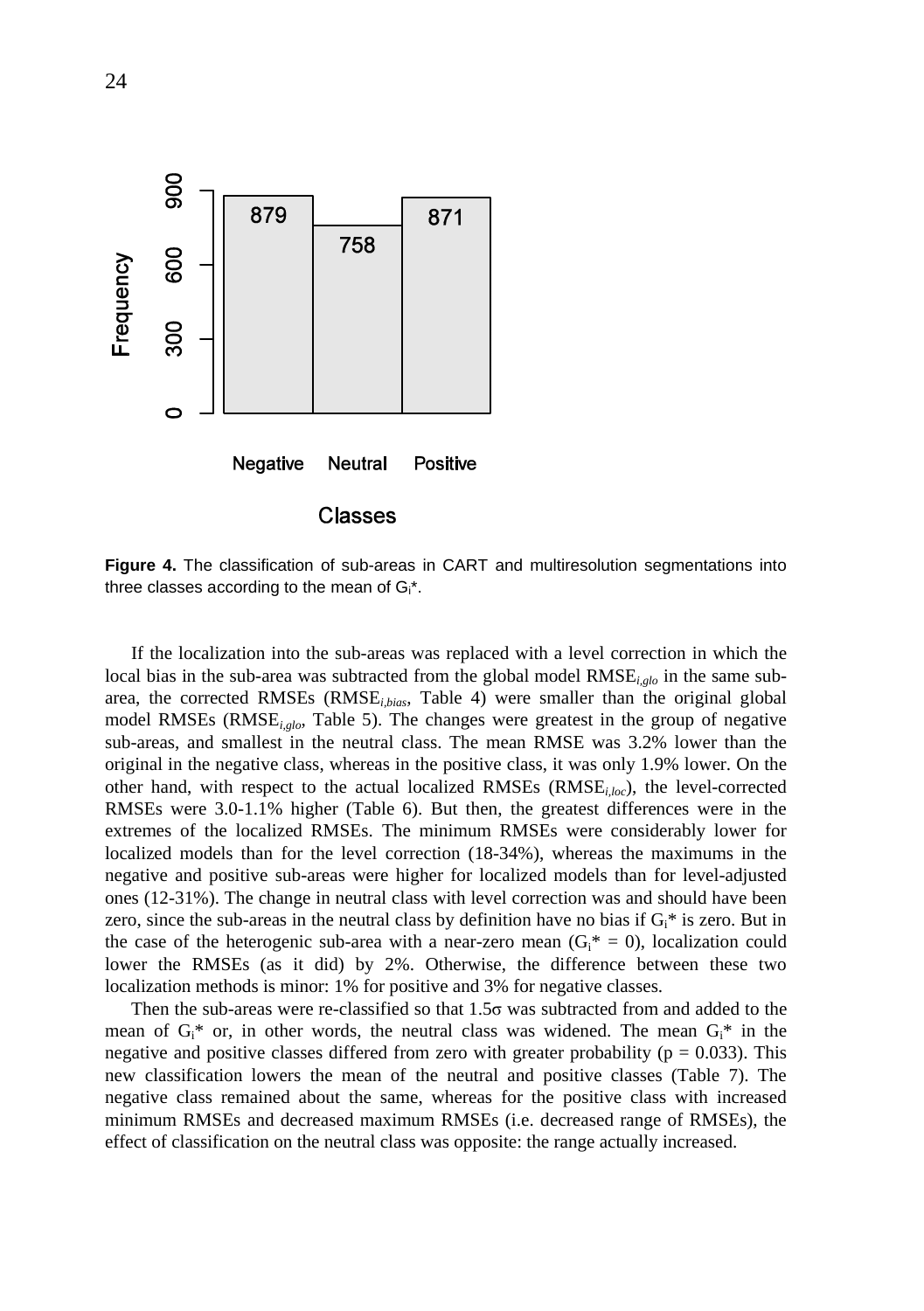

**Figure 4.** The classification of sub-areas in CART and multiresolution segmentations into three classes according to the mean of  $G_i^*$ .

If the localization into the sub-areas was replaced with a level correction in which the local bias in the sub-area was subtracted from the global model RMSE<sub>*i,glo*</sub> in the same subarea, the corrected RMSEs (RMSE*i,bias*, Table 4) were smaller than the original global model RMSEs (RMSE*i,glo*, Table 5). The changes were greatest in the group of negative sub-areas, and smallest in the neutral class. The mean RMSE was 3.2% lower than the original in the negative class, whereas in the positive class, it was only 1.9% lower. On the other hand, with respect to the actual localized RMSEs (RMSE*i,loc*), the level-corrected RMSEs were 3.0-1.1% higher (Table 6). But then, the greatest differences were in the extremes of the localized RMSEs. The minimum RMSEs were considerably lower for localized models than for the level correction (18-34%), whereas the maximums in the negative and positive sub-areas were higher for localized models than for level-adjusted ones (12-31%). The change in neutral class with level correction was and should have been zero, since the sub-areas in the neutral class by definition have no bias if  $G_i^*$  is zero. But in the case of the heterogenic sub-area with a near-zero mean  $(G<sub>i</sub><sup>*</sup> = 0)$ , localization could lower the RMSEs (as it did) by 2%. Otherwise, the difference between these two localization methods is minor: 1% for positive and 3% for negative classes.

Then the sub-areas were re-classified so that  $1.5\sigma$  was subtracted from and added to the mean of  $G_i^*$  or, in other words, the neutral class was widened. The mean  $G_i^*$  in the negative and positive classes differed from zero with greater probability ( $p = 0.033$ ). This new classification lowers the mean of the neutral and positive classes (Table 7). The negative class remained about the same, whereas for the positive class with increased minimum RMSEs and decreased maximum RMSEs (i.e. decreased range of RMSEs), the effect of classification on the neutral class was opposite: the range actually increased.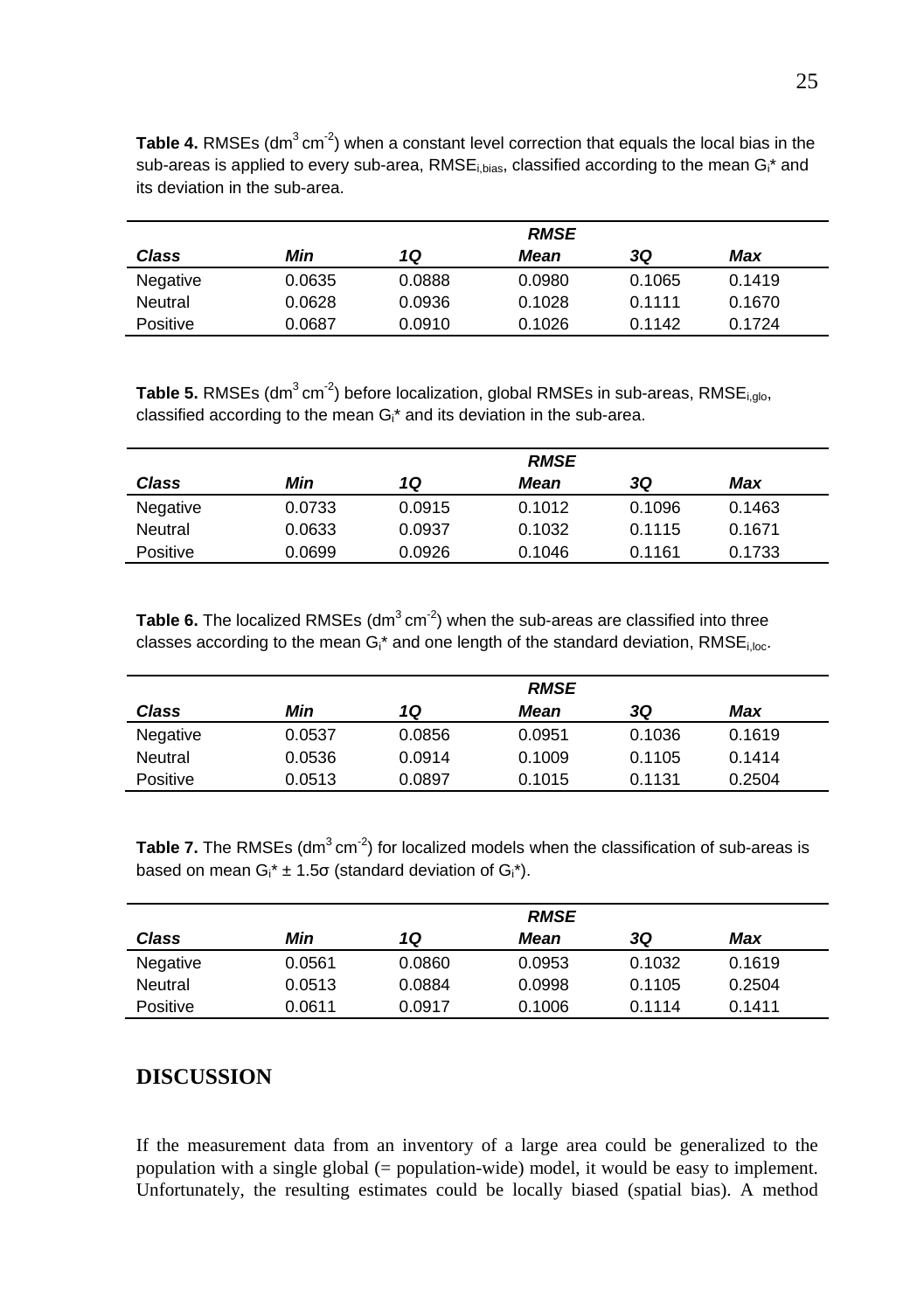|          | <b>RMSE</b> |        |        |        |        |  |  |
|----------|-------------|--------|--------|--------|--------|--|--|
| Class    | Min         | 10     | Mean   | 3Q     | Max    |  |  |
| Negative | 0.0635      | 0.0888 | 0.0980 | 0.1065 | 0.1419 |  |  |
| Neutral  | 0.0628      | 0.0936 | 0.1028 | 0.1111 | 0.1670 |  |  |
| Positive | 0.0687      | 0.0910 | 0.1026 | 0.1142 | 0.1724 |  |  |

**Table 4.** RMSEs (dm<sup>3</sup>cm<sup>-2</sup>) when a constant level correction that equals the local bias in the sub-areas is applied to every sub-area, RMSE<sub>i,bias</sub>, classified according to the mean G<sub>i</sub><sup>\*</sup> and its deviation in the sub-area.

**Table 5.** RMSEs (dm<sup>3</sup> cm<sup>-2</sup>) before localization, global RMSEs in sub-areas, RMSE<sub>i,dlo</sub>, classified according to the mean Gi\* and its deviation in the sub-area.

|          |        | <b>RMSE</b> |        |        |        |  |  |
|----------|--------|-------------|--------|--------|--------|--|--|
| Class    | Min    | 1Q          | Mean   | 3Q     | Max    |  |  |
| Negative | 0.0733 | 0.0915      | 0.1012 | 0.1096 | 0.1463 |  |  |
| Neutral  | 0.0633 | 0.0937      | 0.1032 | 0.1115 | 0.1671 |  |  |
| Positive | 0.0699 | 0.0926      | 0.1046 | 0.1161 | 0.1733 |  |  |

**Table 6.** The localized RMSEs (dm<sup>3</sup>cm<sup>-2</sup>) when the sub-areas are classified into three classes according to the mean  $G_i^*$  and one length of the standard deviation, RMSE<sub>i.loc</sub>.

|          | <b>RMSE</b> |        |        |        |        |  |
|----------|-------------|--------|--------|--------|--------|--|
| Class    | Min         | 1Q     | Mean   | 3Q     | Max    |  |
| Negative | 0.0537      | 0.0856 | 0.0951 | 0.1036 | 0.1619 |  |
| Neutral  | 0.0536      | 0.0914 | 0.1009 | 0.1105 | 0.1414 |  |
| Positive | 0.0513      | 0.0897 | 0.1015 | 0.1131 | 0.2504 |  |

**Table 7.** The RMSEs (dm<sup>3</sup>cm<sup>-2</sup>) for localized models when the classification of sub-areas is based on mean  $G_i^* \pm 1.5\sigma$  (standard deviation of  $G_i^*$ ).

|          | <b>RMSE</b> |        |        |        |        |  |
|----------|-------------|--------|--------|--------|--------|--|
| Class    | Min         | 1Q     | Mean   | 3Q     | Max    |  |
| Negative | 0.0561      | 0.0860 | 0.0953 | 0.1032 | 0.1619 |  |
| Neutral  | 0.0513      | 0.0884 | 0.0998 | 0.1105 | 0.2504 |  |
| Positive | 0.0611      | 0.0917 | 0.1006 | 0.1114 | 0.1411 |  |

# **DISCUSSION**

If the measurement data from an inventory of a large area could be generalized to the population with a single global (= population-wide) model, it would be easy to implement. Unfortunately, the resulting estimates could be locally biased (spatial bias). A method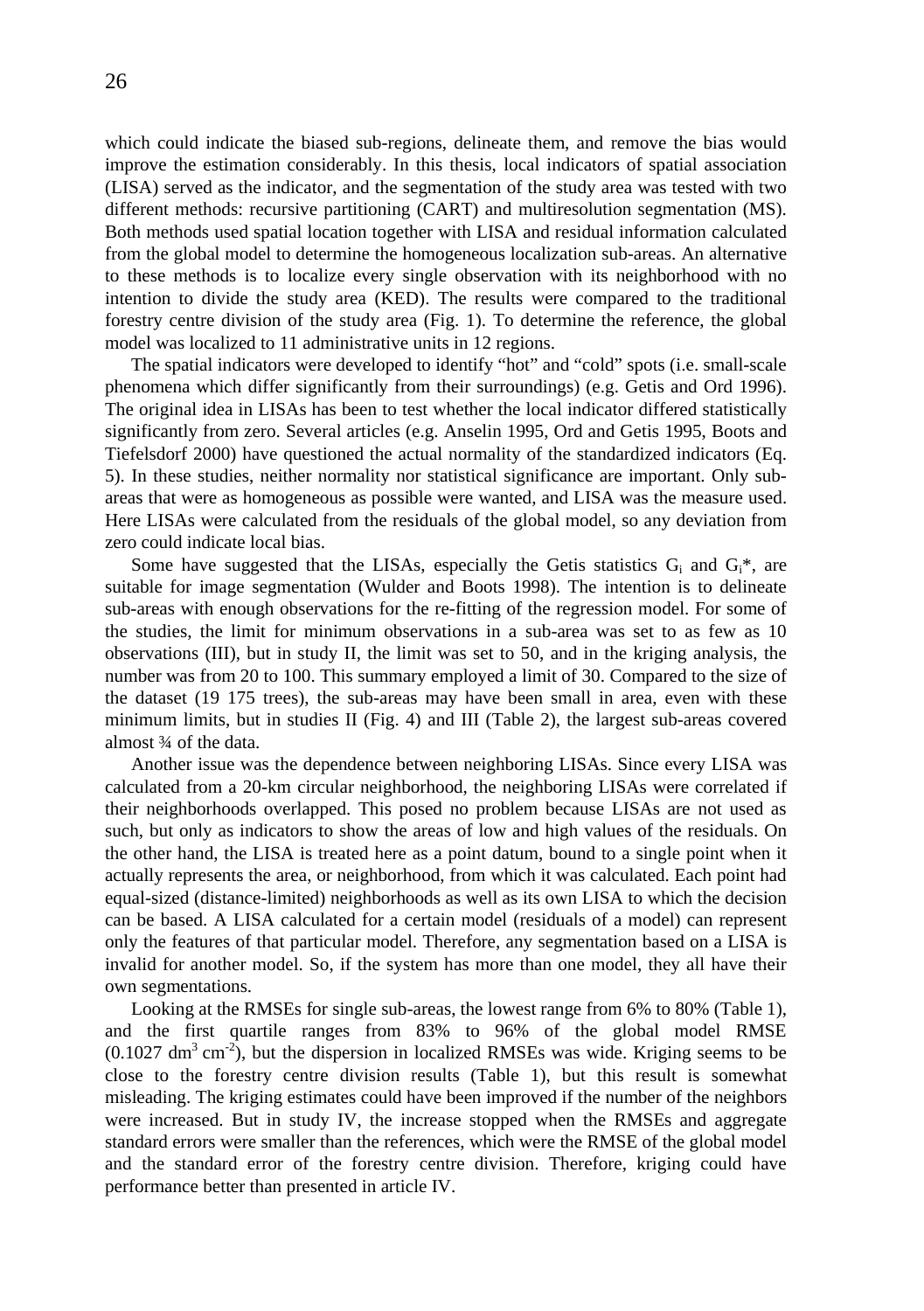which could indicate the biased sub-regions, delineate them, and remove the bias would improve the estimation considerably. In this thesis, local indicators of spatial association (LISA) served as the indicator, and the segmentation of the study area was tested with two different methods: recursive partitioning (CART) and multiresolution segmentation (MS). Both methods used spatial location together with LISA and residual information calculated from the global model to determine the homogeneous localization sub-areas. An alternative to these methods is to localize every single observation with its neighborhood with no intention to divide the study area (KED). The results were compared to the traditional forestry centre division of the study area (Fig. 1). To determine the reference, the global model was localized to 11 administrative units in 12 regions.

The spatial indicators were developed to identify "hot" and "cold" spots (i.e. small-scale phenomena which differ significantly from their surroundings) (e.g. Getis and Ord 1996). The original idea in LISAs has been to test whether the local indicator differed statistically significantly from zero. Several articles (e.g. Anselin 1995, Ord and Getis 1995, Boots and Tiefelsdorf 2000) have questioned the actual normality of the standardized indicators (Eq. 5). In these studies, neither normality nor statistical significance are important. Only subareas that were as homogeneous as possible were wanted, and LISA was the measure used. Here LISAs were calculated from the residuals of the global model, so any deviation from zero could indicate local bias.

Some have suggested that the LISAs, especially the Getis statistics  $G_i$  and  $G_i^*$ , are suitable for image segmentation (Wulder and Boots 1998). The intention is to delineate sub-areas with enough observations for the re-fitting of the regression model. For some of the studies, the limit for minimum observations in a sub-area was set to as few as 10 observations (III), but in study II, the limit was set to 50, and in the kriging analysis, the number was from 20 to 100. This summary employed a limit of 30. Compared to the size of the dataset (19 175 trees), the sub-areas may have been small in area, even with these minimum limits, but in studies II (Fig. 4) and III (Table 2), the largest sub-areas covered almost ¾ of the data.

Another issue was the dependence between neighboring LISAs. Since every LISA was calculated from a 20-km circular neighborhood, the neighboring LISAs were correlated if their neighborhoods overlapped. This posed no problem because LISAs are not used as such, but only as indicators to show the areas of low and high values of the residuals. On the other hand, the LISA is treated here as a point datum, bound to a single point when it actually represents the area, or neighborhood, from which it was calculated. Each point had equal-sized (distance-limited) neighborhoods as well as its own LISA to which the decision can be based. A LISA calculated for a certain model (residuals of a model) can represent only the features of that particular model. Therefore, any segmentation based on a LISA is invalid for another model. So, if the system has more than one model, they all have their own segmentations.

Looking at the RMSEs for single sub-areas, the lowest range from 6% to 80% (Table 1), and the first quartile ranges from 83% to 96% of the global model RMSE  $(0.1027 \text{ dm}^3 \text{ cm}^2)$ , but the dispersion in localized RMSEs was wide. Kriging seems to be close to the forestry centre division results (Table 1), but this result is somewhat misleading. The kriging estimates could have been improved if the number of the neighbors were increased. But in study IV, the increase stopped when the RMSEs and aggregate standard errors were smaller than the references, which were the RMSE of the global model and the standard error of the forestry centre division. Therefore, kriging could have performance better than presented in article IV.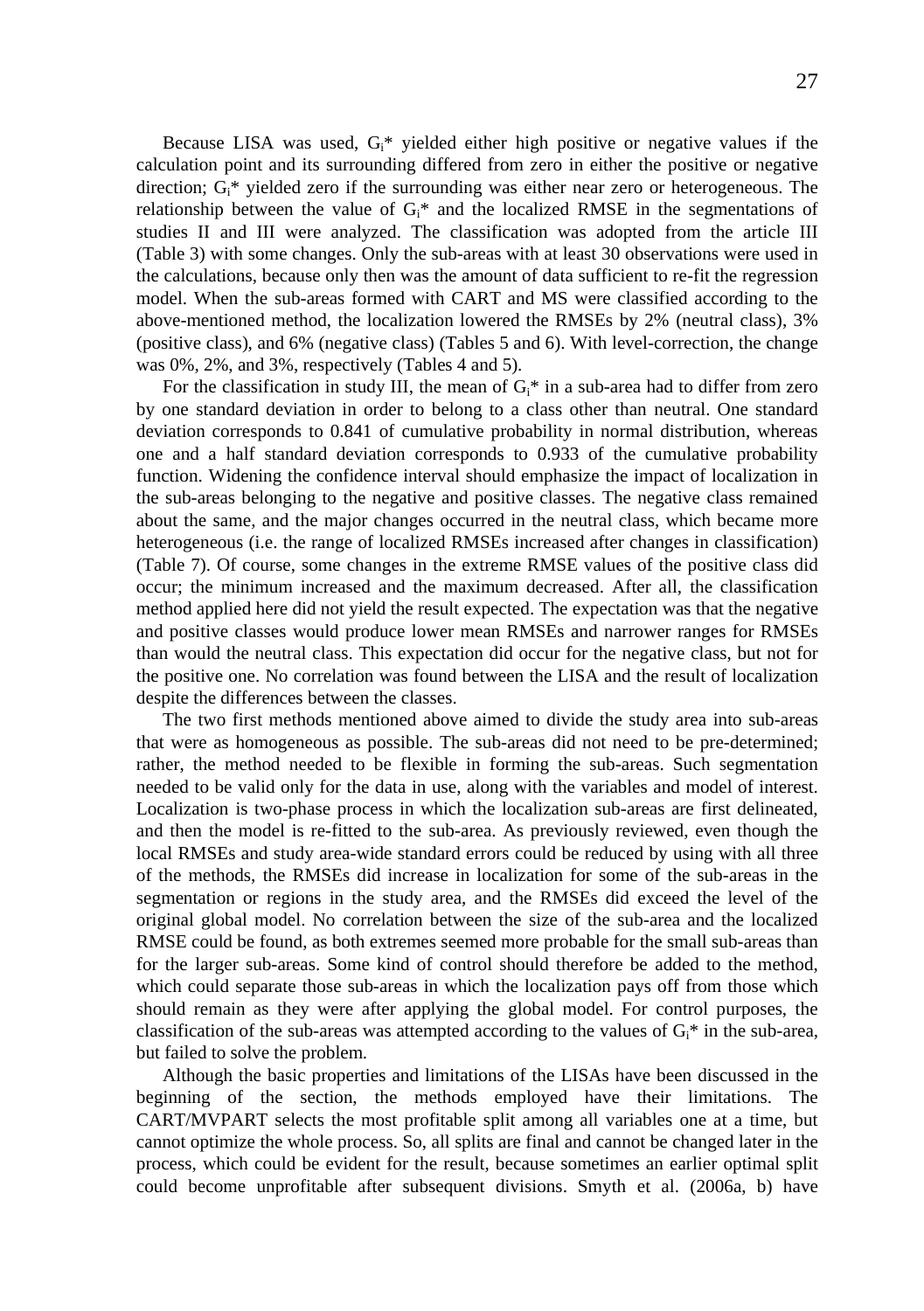Because LISA was used,  $G<sub>i</sub>^*$  yielded either high positive or negative values if the calculation point and its surrounding differed from zero in either the positive or negative direction;  $G_i^*$  yielded zero if the surrounding was either near zero or heterogeneous. The relationship between the value of  $G<sub>i</sub>^*$  and the localized RMSE in the segmentations of studies II and III were analyzed. The classification was adopted from the article III (Table 3) with some changes. Only the sub-areas with at least 30 observations were used in the calculations, because only then was the amount of data sufficient to re-fit the regression model. When the sub-areas formed with CART and MS were classified according to the above-mentioned method, the localization lowered the RMSEs by 2% (neutral class), 3% (positive class), and 6% (negative class) (Tables 5 and 6). With level-correction, the change was 0%, 2%, and 3%, respectively (Tables 4 and 5).

For the classification in study III, the mean of  $G_i^*$  in a sub-area had to differ from zero by one standard deviation in order to belong to a class other than neutral. One standard deviation corresponds to 0.841 of cumulative probability in normal distribution, whereas one and a half standard deviation corresponds to 0.933 of the cumulative probability function. Widening the confidence interval should emphasize the impact of localization in the sub-areas belonging to the negative and positive classes. The negative class remained about the same, and the major changes occurred in the neutral class, which became more heterogeneous (i.e. the range of localized RMSEs increased after changes in classification) (Table 7). Of course, some changes in the extreme RMSE values of the positive class did occur; the minimum increased and the maximum decreased. After all, the classification method applied here did not yield the result expected. The expectation was that the negative and positive classes would produce lower mean RMSEs and narrower ranges for RMSEs than would the neutral class. This expectation did occur for the negative class, but not for the positive one. No correlation was found between the LISA and the result of localization despite the differences between the classes.

The two first methods mentioned above aimed to divide the study area into sub-areas that were as homogeneous as possible. The sub-areas did not need to be pre-determined; rather, the method needed to be flexible in forming the sub-areas. Such segmentation needed to be valid only for the data in use, along with the variables and model of interest. Localization is two-phase process in which the localization sub-areas are first delineated, and then the model is re-fitted to the sub-area. As previously reviewed, even though the local RMSEs and study area-wide standard errors could be reduced by using with all three of the methods, the RMSEs did increase in localization for some of the sub-areas in the segmentation or regions in the study area, and the RMSEs did exceed the level of the original global model. No correlation between the size of the sub-area and the localized RMSE could be found, as both extremes seemed more probable for the small sub-areas than for the larger sub-areas. Some kind of control should therefore be added to the method, which could separate those sub-areas in which the localization pays off from those which should remain as they were after applying the global model. For control purposes, the classification of the sub-areas was attempted according to the values of  $G_i^*$  in the sub-area, but failed to solve the problem.

Although the basic properties and limitations of the LISAs have been discussed in the beginning of the section, the methods employed have their limitations. The CART/MVPART selects the most profitable split among all variables one at a time, but cannot optimize the whole process. So, all splits are final and cannot be changed later in the process, which could be evident for the result, because sometimes an earlier optimal split could become unprofitable after subsequent divisions. Smyth et al. (2006a, b) have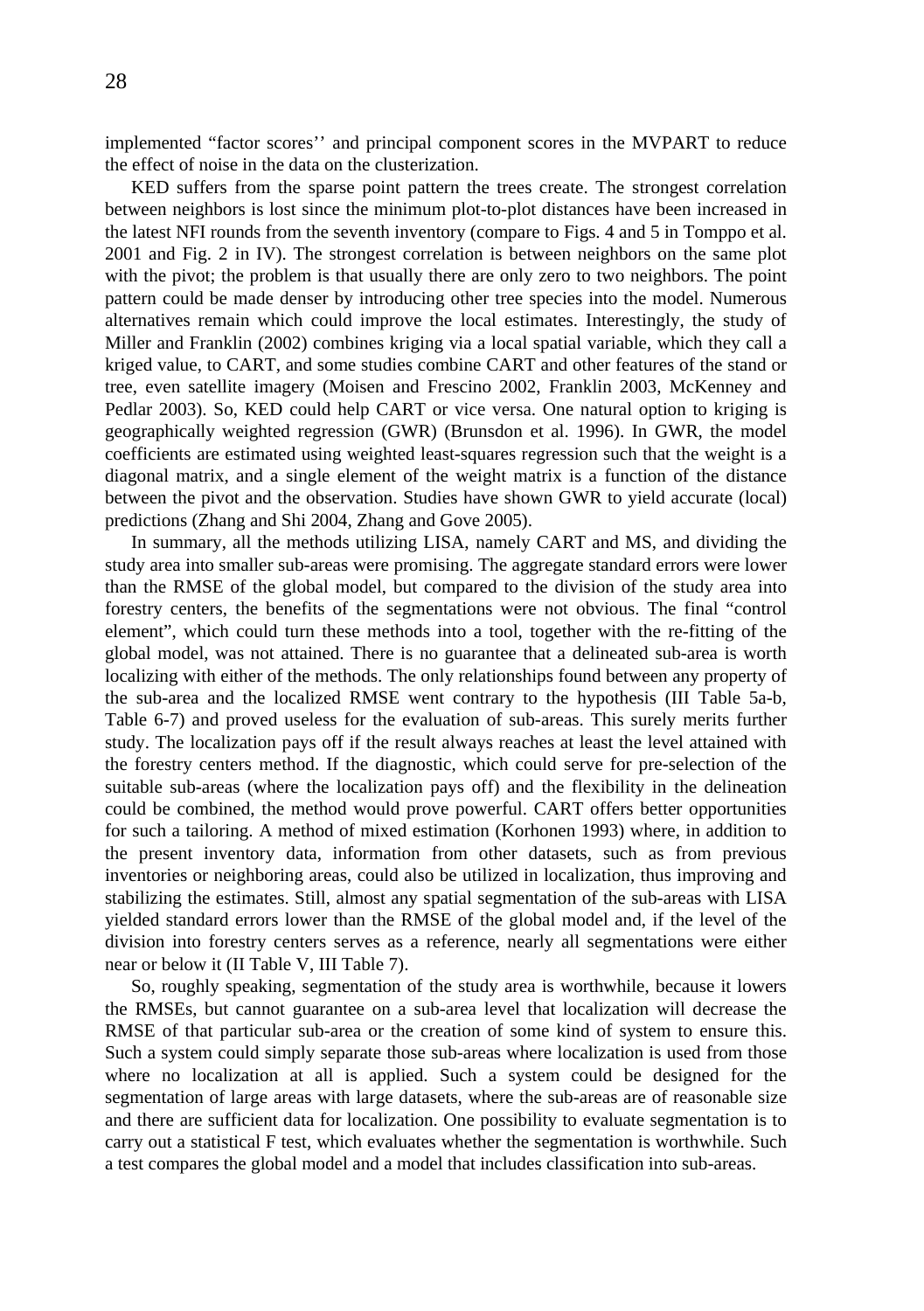implemented "factor scores'' and principal component scores in the MVPART to reduce the effect of noise in the data on the clusterization.

KED suffers from the sparse point pattern the trees create. The strongest correlation between neighbors is lost since the minimum plot-to-plot distances have been increased in the latest NFI rounds from the seventh inventory (compare to Figs. 4 and 5 in Tomppo et al. 2001 and Fig. 2 in IV). The strongest correlation is between neighbors on the same plot with the pivot; the problem is that usually there are only zero to two neighbors. The point pattern could be made denser by introducing other tree species into the model. Numerous alternatives remain which could improve the local estimates. Interestingly, the study of Miller and Franklin (2002) combines kriging via a local spatial variable, which they call a kriged value, to CART, and some studies combine CART and other features of the stand or tree, even satellite imagery (Moisen and Frescino 2002, Franklin 2003, McKenney and Pedlar 2003). So, KED could help CART or vice versa. One natural option to kriging is geographically weighted regression (GWR) (Brunsdon et al. 1996). In GWR, the model coefficients are estimated using weighted least-squares regression such that the weight is a diagonal matrix, and a single element of the weight matrix is a function of the distance between the pivot and the observation. Studies have shown GWR to yield accurate (local) predictions (Zhang and Shi 2004, Zhang and Gove 2005).

In summary, all the methods utilizing LISA, namely CART and MS, and dividing the study area into smaller sub-areas were promising. The aggregate standard errors were lower than the RMSE of the global model, but compared to the division of the study area into forestry centers, the benefits of the segmentations were not obvious. The final "control element", which could turn these methods into a tool, together with the re-fitting of the global model, was not attained. There is no guarantee that a delineated sub-area is worth localizing with either of the methods. The only relationships found between any property of the sub-area and the localized RMSE went contrary to the hypothesis (III Table 5a-b, Table 6-7) and proved useless for the evaluation of sub-areas. This surely merits further study. The localization pays off if the result always reaches at least the level attained with the forestry centers method. If the diagnostic, which could serve for pre-selection of the suitable sub-areas (where the localization pays off) and the flexibility in the delineation could be combined, the method would prove powerful. CART offers better opportunities for such a tailoring. A method of mixed estimation (Korhonen 1993) where, in addition to the present inventory data, information from other datasets, such as from previous inventories or neighboring areas, could also be utilized in localization, thus improving and stabilizing the estimates. Still, almost any spatial segmentation of the sub-areas with LISA yielded standard errors lower than the RMSE of the global model and, if the level of the division into forestry centers serves as a reference, nearly all segmentations were either near or below it (II Table V, III Table 7).

So, roughly speaking, segmentation of the study area is worthwhile, because it lowers the RMSEs, but cannot guarantee on a sub-area level that localization will decrease the RMSE of that particular sub-area or the creation of some kind of system to ensure this. Such a system could simply separate those sub-areas where localization is used from those where no localization at all is applied. Such a system could be designed for the segmentation of large areas with large datasets, where the sub-areas are of reasonable size and there are sufficient data for localization. One possibility to evaluate segmentation is to carry out a statistical F test, which evaluates whether the segmentation is worthwhile. Such a test compares the global model and a model that includes classification into sub-areas.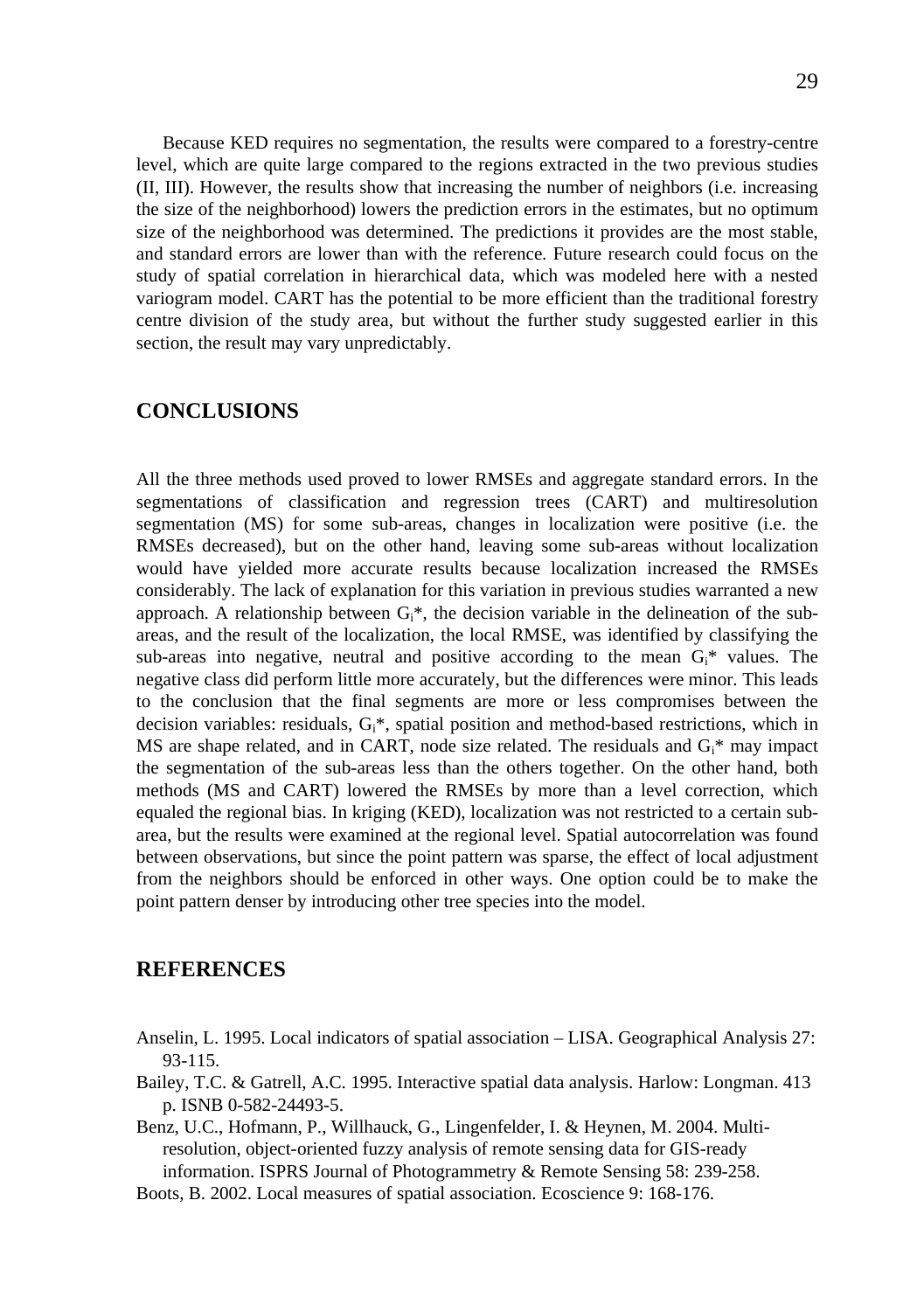Because KED requires no segmentation, the results were compared to a forestry-centre level, which are quite large compared to the regions extracted in the two previous studies (II, III). However, the results show that increasing the number of neighbors (i.e. increasing the size of the neighborhood) lowers the prediction errors in the estimates, but no optimum size of the neighborhood was determined. The predictions it provides are the most stable, and standard errors are lower than with the reference. Future research could focus on the study of spatial correlation in hierarchical data, which was modeled here with a nested variogram model. CART has the potential to be more efficient than the traditional forestry centre division of the study area, but without the further study suggested earlier in this section, the result may vary unpredictably.

## **CONCLUSIONS**

All the three methods used proved to lower RMSEs and aggregate standard errors. In the segmentations of classification and regression trees (CART) and multiresolution segmentation (MS) for some sub-areas, changes in localization were positive (i.e. the RMSEs decreased), but on the other hand, leaving some sub-areas without localization would have yielded more accurate results because localization increased the RMSEs considerably. The lack of explanation for this variation in previous studies warranted a new approach. A relationship between  $G_i^*$ , the decision variable in the delineation of the subareas, and the result of the localization, the local RMSE, was identified by classifying the sub-areas into negative, neutral and positive according to the mean  $G_i^*$  values. The negative class did perform little more accurately, but the differences were minor. This leads to the conclusion that the final segments are more or less compromises between the decision variables: residuals,  $G_i^*$ , spatial position and method-based restrictions, which in MS are shape related, and in CART, node size related. The residuals and  $G_i^*$  may impact the segmentation of the sub-areas less than the others together. On the other hand, both methods (MS and CART) lowered the RMSEs by more than a level correction, which equaled the regional bias. In kriging (KED), localization was not restricted to a certain subarea, but the results were examined at the regional level. Spatial autocorrelation was found between observations, but since the point pattern was sparse, the effect of local adjustment from the neighbors should be enforced in other ways. One option could be to make the point pattern denser by introducing other tree species into the model.

### **REFERENCES**

- Anselin, L. 1995. Local indicators of spatial association LISA. Geographical Analysis 27: 93-115.
- Bailey, T.C. & Gatrell, A.C. 1995. Interactive spatial data analysis. Harlow: Longman. 413 p. ISNB 0-582-24493-5.
- Benz, U.C., Hofmann, P., Willhauck, G., Lingenfelder, I. & Heynen, M. 2004. Multiresolution, object-oriented fuzzy analysis of remote sensing data for GIS-ready information. ISPRS Journal of Photogrammetry & Remote Sensing 58: 239-258.

Boots, B. 2002. Local measures of spatial association. Ecoscience 9: 168-176.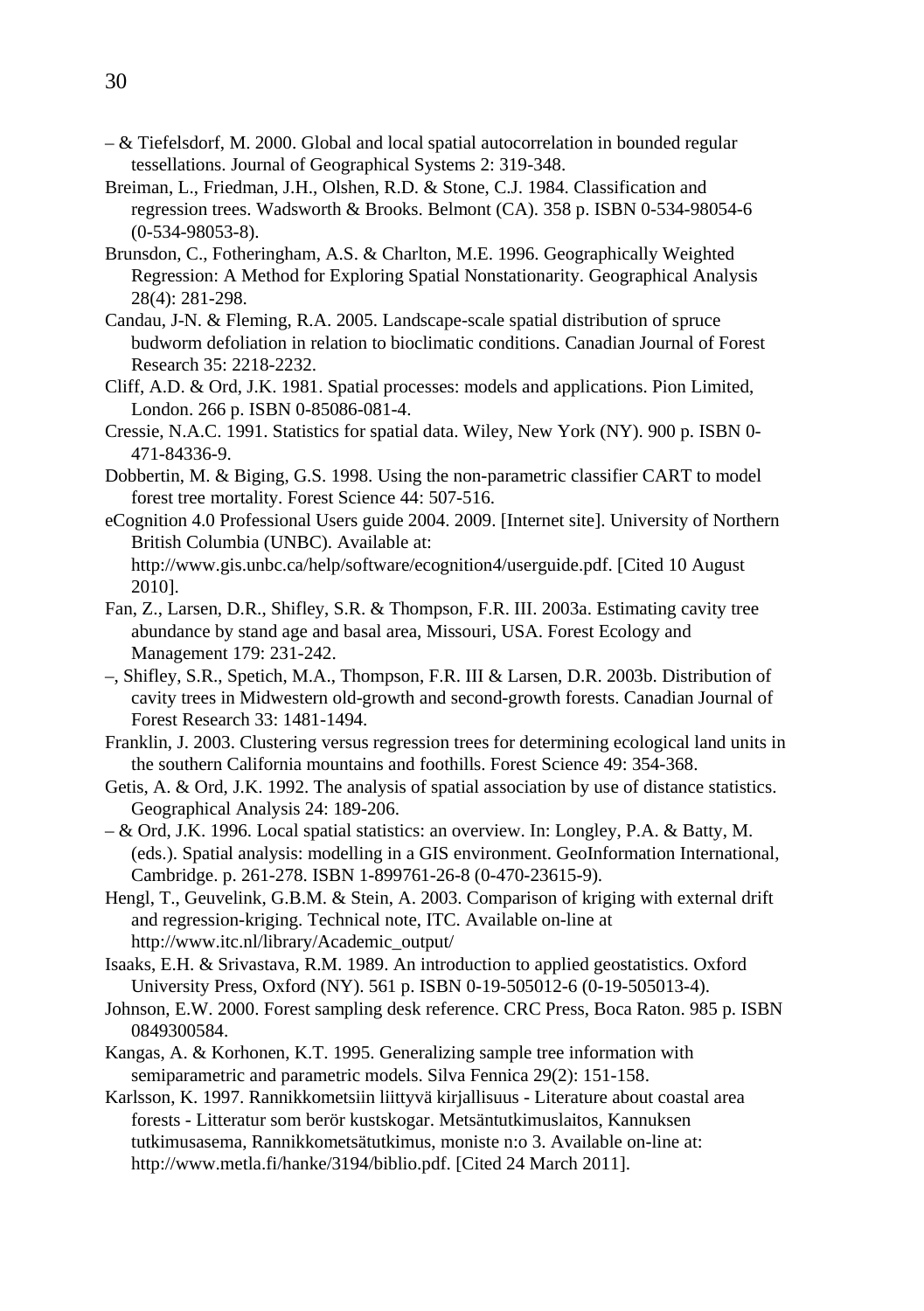- & Tiefelsdorf, M. 2000. Global and local spatial autocorrelation in bounded regular tessellations. Journal of Geographical Systems 2: 319-348.
- Breiman, L., Friedman, J.H., Olshen, R.D. & Stone, C.J. 1984. Classification and regression trees. Wadsworth & Brooks. Belmont (CA). 358 p. ISBN 0-534-98054-6 (0-534-98053-8).
- Brunsdon, C., Fotheringham, A.S. & Charlton, M.E. 1996. Geographically Weighted Regression: A Method for Exploring Spatial Nonstationarity. Geographical Analysis 28(4): 281-298.
- Candau, J-N. & Fleming, R.A. 2005. Landscape-scale spatial distribution of spruce budworm defoliation in relation to bioclimatic conditions. Canadian Journal of Forest Research 35: 2218-2232.
- Cliff, A.D. & Ord, J.K. 1981. Spatial processes: models and applications. Pion Limited, London. 266 p. ISBN 0-85086-081-4.
- Cressie, N.A.C. 1991. Statistics for spatial data. Wiley, New York (NY). 900 p. ISBN 0- 471-84336-9.
- Dobbertin, M. & Biging, G.S. 1998. Using the non-parametric classifier CART to model forest tree mortality. Forest Science 44: 507-516.
- eCognition 4.0 Professional Users guide 2004. 2009. [Internet site]. University of Northern British Columbia (UNBC). Available at: http://www.gis.unbc.ca/help/software/ecognition4/userguide.pdf. [Cited 10 August 2010].
- Fan, Z., Larsen, D.R., Shifley, S.R. & Thompson, F.R. III. 2003a. Estimating cavity tree abundance by stand age and basal area, Missouri, USA. Forest Ecology and Management 179: 231-242.
- –, Shifley, S.R., Spetich, M.A., Thompson, F.R. III & Larsen, D.R. 2003b. Distribution of cavity trees in Midwestern old-growth and second-growth forests. Canadian Journal of Forest Research 33: 1481-1494.
- Franklin, J. 2003. Clustering versus regression trees for determining ecological land units in the southern California mountains and foothills. Forest Science 49: 354-368.
- Getis, A. & Ord, J.K. 1992. The analysis of spatial association by use of distance statistics. Geographical Analysis 24: 189-206.
- & Ord, J.K. 1996. Local spatial statistics: an overview. In: Longley, P.A. & Batty, M. (eds.). Spatial analysis: modelling in a GIS environment. GeoInformation International, Cambridge. p. 261-278. ISBN 1-899761-26-8 (0-470-23615-9).
- Hengl, T., Geuvelink, G.B.M. & Stein, A. 2003. Comparison of kriging with external drift and regression-kriging. Technical note, ITC. Available on-line at http://www.itc.nl/library/Academic\_output/
- Isaaks, E.H. & Srivastava, R.M. 1989. An introduction to applied geostatistics. Oxford University Press, Oxford (NY). 561 p. ISBN 0-19-505012-6 (0-19-505013-4).
- Johnson, E.W. 2000. Forest sampling desk reference. CRC Press, Boca Raton. 985 p. ISBN 0849300584.
- Kangas, A. & Korhonen, K.T. 1995. Generalizing sample tree information with semiparametric and parametric models. Silva Fennica 29(2): 151-158.
- Karlsson, K. 1997. Rannikkometsiin liittyvä kirjallisuus Literature about coastal area forests - Litteratur som berör kustskogar. Metsäntutkimuslaitos, Kannuksen tutkimusasema, Rannikkometsätutkimus, moniste n:o 3. Available on-line at: http://www.metla.fi/hanke/3194/biblio.pdf. [Cited 24 March 2011].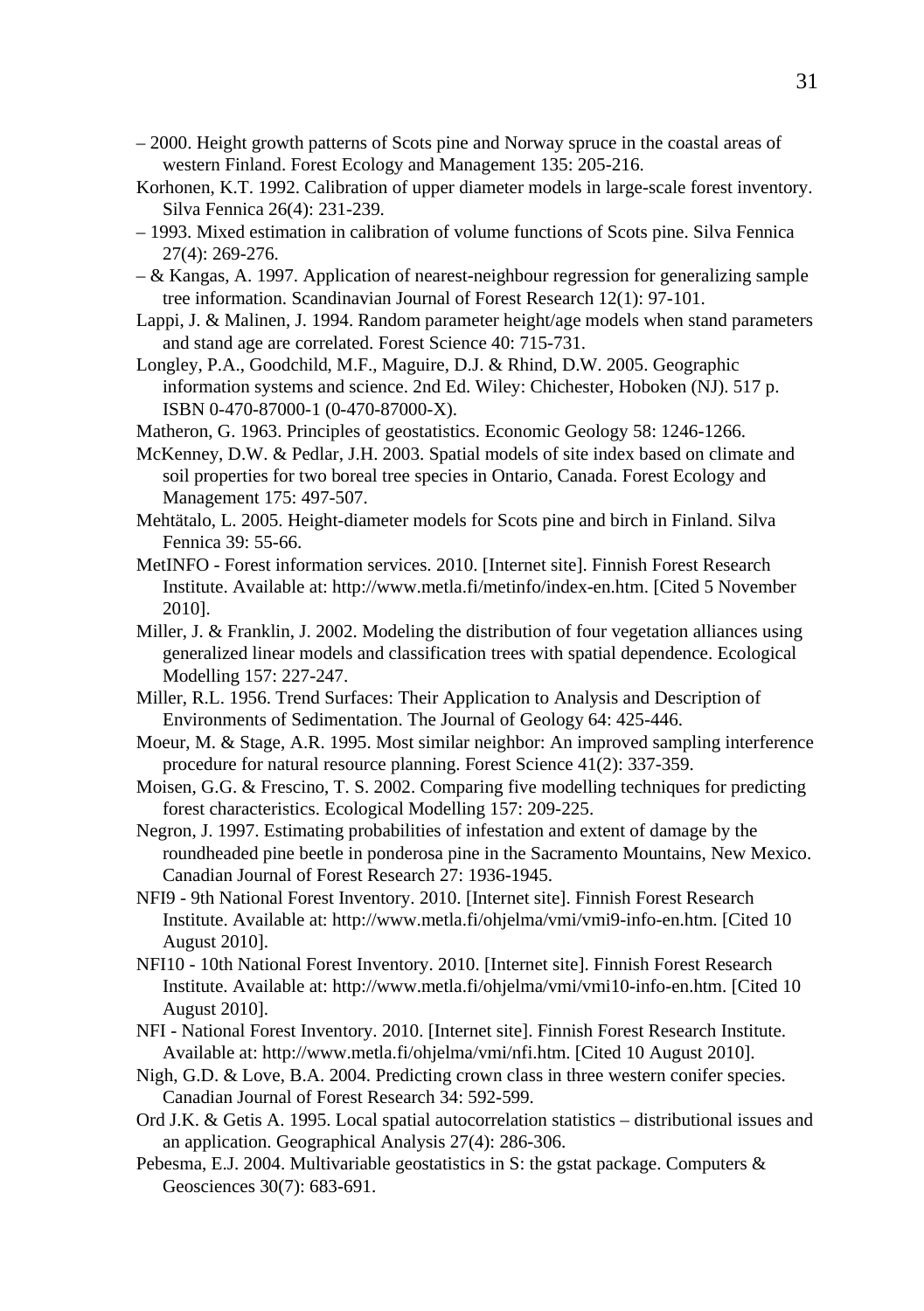- 2000. Height growth patterns of Scots pine and Norway spruce in the coastal areas of western Finland. Forest Ecology and Management 135: 205-216.
- Korhonen, K.T. 1992. Calibration of upper diameter models in large-scale forest inventory. Silva Fennica 26(4): 231-239.
- 1993. Mixed estimation in calibration of volume functions of Scots pine. Silva Fennica 27(4): 269-276.
- & Kangas, A. 1997. Application of nearest-neighbour regression for generalizing sample tree information. Scandinavian Journal of Forest Research 12(1): 97-101.
- Lappi, J. & Malinen, J. 1994. Random parameter height/age models when stand parameters and stand age are correlated. Forest Science 40: 715-731.
- Longley, P.A., Goodchild, M.F., Maguire, D.J. & Rhind, D.W. 2005. Geographic information systems and science. 2nd Ed. Wiley: Chichester, Hoboken (NJ). 517 p. ISBN 0-470-87000-1 (0-470-87000-X).
- Matheron, G. 1963. Principles of geostatistics. Economic Geology 58: 1246-1266.
- McKenney, D.W. & Pedlar, J.H. 2003. Spatial models of site index based on climate and soil properties for two boreal tree species in Ontario, Canada. Forest Ecology and Management 175: 497-507.
- Mehtätalo, L. 2005. Height-diameter models for Scots pine and birch in Finland. Silva Fennica 39: 55-66.
- MetINFO Forest information services. 2010. [Internet site]. Finnish Forest Research Institute. Available at: http://www.metla.fi/metinfo/index-en.htm. [Cited 5 November 2010].
- Miller, J. & Franklin, J. 2002. Modeling the distribution of four vegetation alliances using generalized linear models and classification trees with spatial dependence. Ecological Modelling 157: 227-247.
- Miller, R.L. 1956. Trend Surfaces: Their Application to Analysis and Description of Environments of Sedimentation. The Journal of Geology 64: 425-446.
- Moeur, M. & Stage, A.R. 1995. Most similar neighbor: An improved sampling interference procedure for natural resource planning. Forest Science 41(2): 337-359.
- Moisen, G.G. & Frescino, T. S. 2002. Comparing five modelling techniques for predicting forest characteristics. Ecological Modelling 157: 209-225.
- Negron, J. 1997. Estimating probabilities of infestation and extent of damage by the roundheaded pine beetle in ponderosa pine in the Sacramento Mountains, New Mexico. Canadian Journal of Forest Research 27: 1936-1945.
- NFI9 9th National Forest Inventory. 2010. [Internet site]. Finnish Forest Research Institute. Available at: http://www.metla.fi/ohjelma/vmi/vmi9-info-en.htm. [Cited 10 August 2010].
- NFI10 10th National Forest Inventory. 2010. [Internet site]. Finnish Forest Research Institute. Available at: http://www.metla.fi/ohjelma/vmi/vmi10-info-en.htm. [Cited 10 August 2010].
- NFI National Forest Inventory. 2010. [Internet site]. Finnish Forest Research Institute. Available at: http://www.metla.fi/ohjelma/vmi/nfi.htm. [Cited 10 August 2010].
- Nigh, G.D. & Love, B.A. 2004. Predicting crown class in three western conifer species. Canadian Journal of Forest Research 34: 592-599.
- Ord J.K. & Getis A. 1995. Local spatial autocorrelation statistics distributional issues and an application. Geographical Analysis 27(4): 286-306.
- Pebesma, E.J. 2004. Multivariable geostatistics in S: the gstat package. Computers  $\&$ Geosciences 30(7): 683-691.